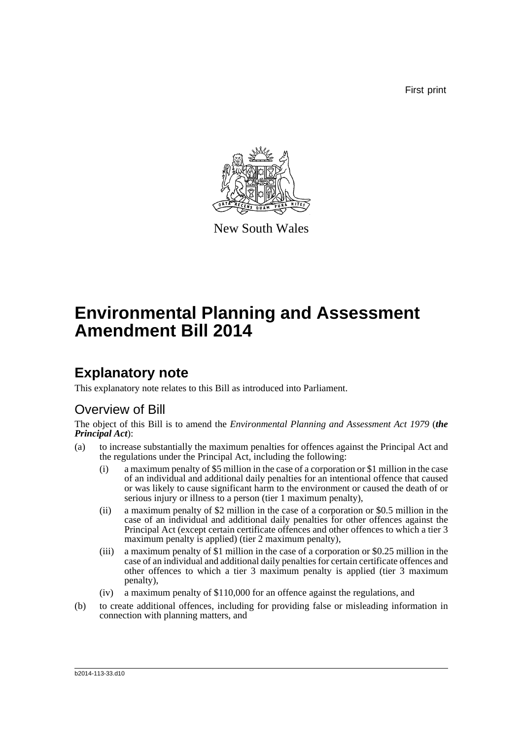First print



New South Wales

# **Environmental Planning and Assessment Amendment Bill 2014**

### **Explanatory note**

This explanatory note relates to this Bill as introduced into Parliament.

### Overview of Bill

The object of this Bill is to amend the *Environmental Planning and Assessment Act 1979* (*the Principal Act*):

- (a) to increase substantially the maximum penalties for offences against the Principal Act and the regulations under the Principal Act, including the following:
	- (i) a maximum penalty of \$5 million in the case of a corporation or \$1 million in the case of an individual and additional daily penalties for an intentional offence that caused or was likely to cause significant harm to the environment or caused the death of or serious injury or illness to a person (tier 1 maximum penalty),
	- (ii) a maximum penalty of \$2 million in the case of a corporation or \$0.5 million in the case of an individual and additional daily penalties for other offences against the Principal Act (except certain certificate offences and other offences to which a tier 3 maximum penalty is applied) (tier 2 maximum penalty),
	- (iii) a maximum penalty of \$1 million in the case of a corporation or \$0.25 million in the case of an individual and additional daily penalties for certain certificate offences and other offences to which a tier 3 maximum penalty is applied (tier 3 maximum penalty),
	- (iv) a maximum penalty of \$110,000 for an offence against the regulations, and
- (b) to create additional offences, including for providing false or misleading information in connection with planning matters, and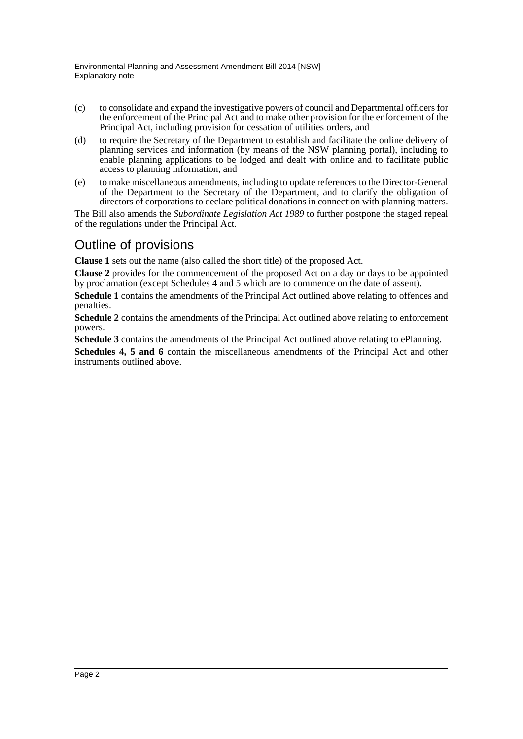- (c) to consolidate and expand the investigative powers of council and Departmental officers for the enforcement of the Principal Act and to make other provision for the enforcement of the Principal Act, including provision for cessation of utilities orders, and
- (d) to require the Secretary of the Department to establish and facilitate the online delivery of planning services and information (by means of the NSW planning portal), including to enable planning applications to be lodged and dealt with online and to facilitate public access to planning information, and
- (e) to make miscellaneous amendments, including to update references to the Director-General of the Department to the Secretary of the Department, and to clarify the obligation of directors of corporations to declare political donations in connection with planning matters.

The Bill also amends the *Subordinate Legislation Act 1989* to further postpone the staged repeal of the regulations under the Principal Act.

### Outline of provisions

**Clause 1** sets out the name (also called the short title) of the proposed Act.

**Clause 2** provides for the commencement of the proposed Act on a day or days to be appointed by proclamation (except Schedules 4 and 5 which are to commence on the date of assent).

**Schedule 1** contains the amendments of the Principal Act outlined above relating to offences and penalties.

**Schedule 2** contains the amendments of the Principal Act outlined above relating to enforcement powers.

**Schedule 3** contains the amendments of the Principal Act outlined above relating to ePlanning.

**Schedules 4, 5 and 6** contain the miscellaneous amendments of the Principal Act and other instruments outlined above.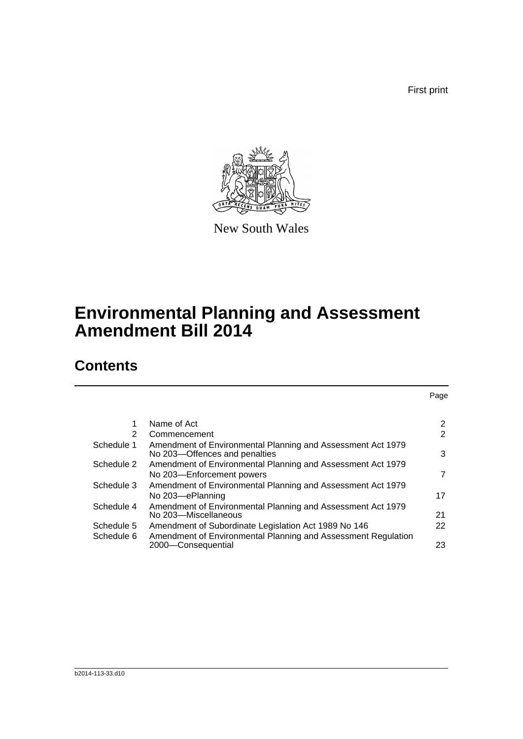First print



New South Wales

## **Environmental Planning and Assessment Amendment Bill 2014**

### **Contents**

|                                                                                              | Page                                                                                                             |
|----------------------------------------------------------------------------------------------|------------------------------------------------------------------------------------------------------------------|
|                                                                                              |                                                                                                                  |
|                                                                                              | $\overline{2}$                                                                                                   |
|                                                                                              | 2                                                                                                                |
| Amendment of Environmental Planning and Assessment Act 1979<br>No 203-Offences and penalties | 3                                                                                                                |
| Amendment of Environmental Planning and Assessment Act 1979                                  |                                                                                                                  |
| No 203-Enforcement powers                                                                    | 7                                                                                                                |
| Amendment of Environmental Planning and Assessment Act 1979                                  |                                                                                                                  |
| No 203-ePlanning                                                                             | 17                                                                                                               |
|                                                                                              |                                                                                                                  |
| No 203-Miscellaneous                                                                         | 21                                                                                                               |
| Amendment of Subordinate Legislation Act 1989 No 146                                         | 22                                                                                                               |
| Amendment of Environmental Planning and Assessment Regulation                                | 23                                                                                                               |
|                                                                                              | Name of Act<br>Commencement<br>Amendment of Environmental Planning and Assessment Act 1979<br>2000-Consequential |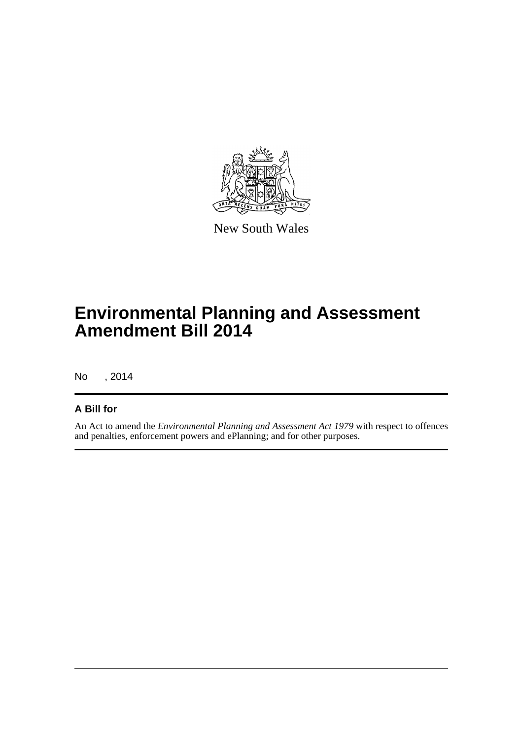

New South Wales

## **Environmental Planning and Assessment Amendment Bill 2014**

No , 2014

### **A Bill for**

An Act to amend the *Environmental Planning and Assessment Act 1979* with respect to offences and penalties, enforcement powers and ePlanning; and for other purposes.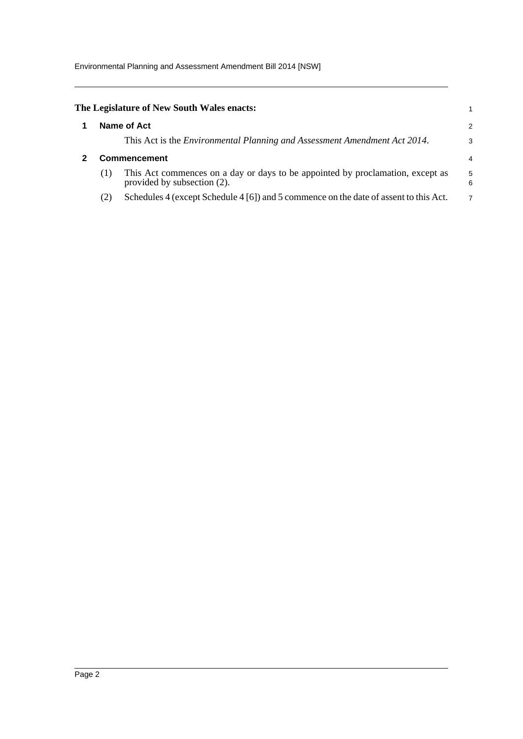<span id="page-4-1"></span><span id="page-4-0"></span>

|     | The Legislature of New South Wales enacts:                                                                    |        |
|-----|---------------------------------------------------------------------------------------------------------------|--------|
|     | Name of Act                                                                                                   | 2      |
|     | This Act is the <i>Environmental Planning and Assessment Amendment Act 2014</i> .                             | 3      |
|     | <b>Commencement</b>                                                                                           | 4      |
| (1) | This Act commences on a day or days to be appointed by proclamation, except as<br>provided by subsection (2). | 5<br>6 |
| (2) | Schedules 4 (except Schedule 4 [6]) and 5 commence on the date of assent to this Act.                         | 7      |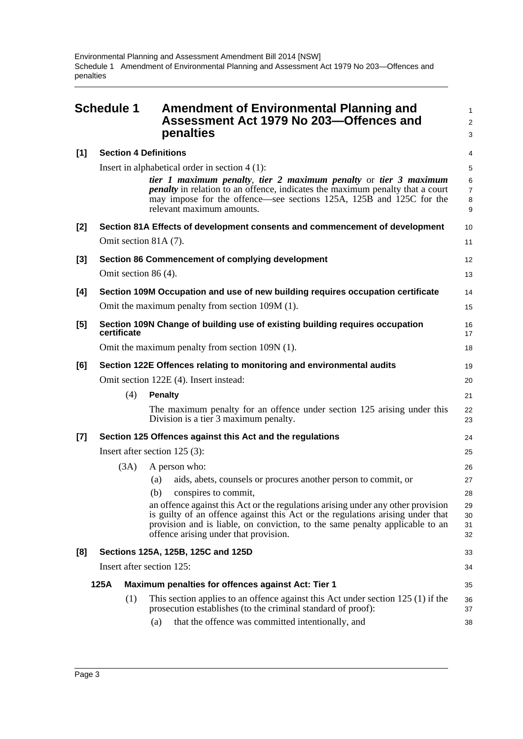<span id="page-5-0"></span>

|       | <b>Schedule 1</b> | Amendment of Environmental Planning and<br>Assessment Act 1979 No 203-Offences and<br>penalties                                                                                                                                                                                             | 1<br>$\overline{a}$<br>3 |
|-------|-------------------|---------------------------------------------------------------------------------------------------------------------------------------------------------------------------------------------------------------------------------------------------------------------------------------------|--------------------------|
| [1]   |                   | <b>Section 4 Definitions</b>                                                                                                                                                                                                                                                                | 4                        |
|       |                   | Insert in alphabetical order in section $4(1)$ :                                                                                                                                                                                                                                            | 5                        |
|       |                   | tier 1 maximum penalty, tier 2 maximum penalty or tier 3 maximum<br><i>penalty</i> in relation to an offence, indicates the maximum penalty that a court<br>may impose for the offence—see sections 125A, 125B and 125C for the<br>relevant maximum amounts.                                | 6<br>7<br>8<br>9         |
| [2]   |                   | Section 81A Effects of development consents and commencement of development                                                                                                                                                                                                                 | 10                       |
|       |                   | Omit section 81A (7).                                                                                                                                                                                                                                                                       | 11                       |
| [3]   |                   | Section 86 Commencement of complying development                                                                                                                                                                                                                                            | 12                       |
|       |                   | Omit section 86 (4).                                                                                                                                                                                                                                                                        | 13                       |
| [4]   |                   | Section 109M Occupation and use of new building requires occupation certificate                                                                                                                                                                                                             | 14                       |
|       |                   | Omit the maximum penalty from section 109M (1).                                                                                                                                                                                                                                             | 15                       |
| [5]   | certificate       | Section 109N Change of building use of existing building requires occupation                                                                                                                                                                                                                | 16<br>17                 |
|       |                   | Omit the maximum penalty from section 109N (1).                                                                                                                                                                                                                                             | 18                       |
| [6]   |                   | Section 122E Offences relating to monitoring and environmental audits                                                                                                                                                                                                                       | 19                       |
|       |                   | Omit section 122E (4). Insert instead:                                                                                                                                                                                                                                                      | 20                       |
|       | (4)               | <b>Penalty</b>                                                                                                                                                                                                                                                                              | 21                       |
|       |                   | The maximum penalty for an offence under section 125 arising under this<br>Division is a tier 3 maximum penalty.                                                                                                                                                                            | 22<br>23                 |
| $[7]$ |                   | Section 125 Offences against this Act and the regulations                                                                                                                                                                                                                                   | 24                       |
|       |                   | Insert after section $125(3)$ :                                                                                                                                                                                                                                                             | 25                       |
|       | (3A)              | A person who:                                                                                                                                                                                                                                                                               | 26                       |
|       |                   | aids, abets, counsels or procures another person to commit, or<br>(a)                                                                                                                                                                                                                       | 27                       |
|       |                   | (b)<br>conspires to commit,                                                                                                                                                                                                                                                                 | 28                       |
|       |                   | an offence against this Act or the regulations arising under any other provision<br>is guilty of an offence against this Act or the regulations arising under that<br>provision and is liable, on conviction, to the same penalty applicable to an<br>offence arising under that provision. | 29<br>30<br>31<br>32     |
| [8]   |                   | Sections 125A, 125B, 125C and 125D                                                                                                                                                                                                                                                          | 33                       |
|       |                   | Insert after section 125:                                                                                                                                                                                                                                                                   | 34                       |
|       | 125A              | Maximum penalties for offences against Act: Tier 1                                                                                                                                                                                                                                          | 35                       |
|       | (1)               | This section applies to an offence against this Act under section $125(1)$ if the<br>prosecution establishes (to the criminal standard of proof):                                                                                                                                           | 36<br>37                 |
|       |                   | that the offence was committed intentionally, and<br>(a)                                                                                                                                                                                                                                    | 38                       |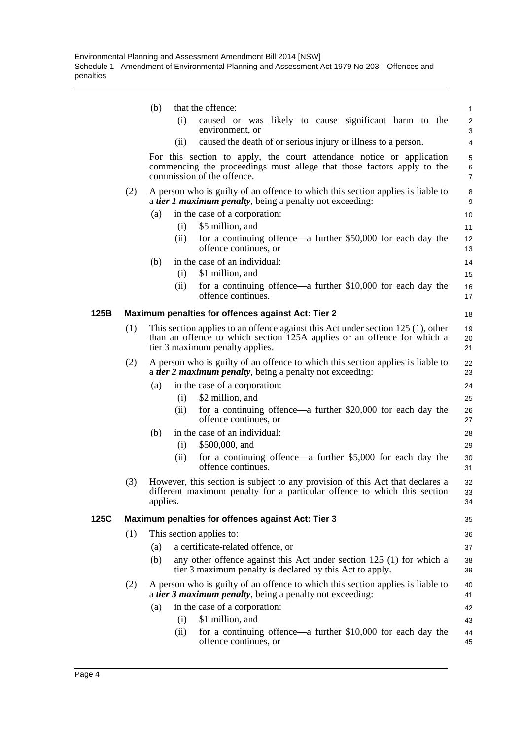|      |     | that the offence:<br>(b)                                                                                                                                                                         | 1                            |
|------|-----|--------------------------------------------------------------------------------------------------------------------------------------------------------------------------------------------------|------------------------------|
|      |     | (i)<br>caused or was likely to cause significant harm to the<br>environment, or                                                                                                                  | $\overline{\mathbf{c}}$<br>3 |
|      |     | caused the death of or serious injury or illness to a person.<br>(ii)                                                                                                                            | 4                            |
|      |     | For this section to apply, the court attendance notice or application<br>commencing the proceedings must allege that those factors apply to the<br>commission of the offence.                    | 5<br>6<br>$\overline{7}$     |
|      | (2) | A person who is guilty of an offence to which this section applies is liable to<br>a <i>tier 1 maximum penalty</i> , being a penalty not exceeding:                                              | 8<br>9                       |
|      |     | in the case of a corporation:<br>(a)<br>(i)<br>\$5 million, and                                                                                                                                  | 10<br>11                     |
|      |     | for a continuing offence—a further \$50,000 for each day the<br>(ii)<br>offence continues, or                                                                                                    | 12<br>13                     |
|      |     | in the case of an individual:<br>(b)<br>\$1 million, and<br>(i)                                                                                                                                  | 14<br>15                     |
|      |     | for a continuing offence—a further \$10,000 for each day the<br>(ii)<br>offence continues.                                                                                                       | 16<br>17                     |
| 125B |     | Maximum penalties for offences against Act: Tier 2                                                                                                                                               | 18                           |
|      | (1) | This section applies to an offence against this Act under section $125(1)$ , other<br>than an offence to which section 125A applies or an offence for which a<br>tier 3 maximum penalty applies. | 19<br>20<br>21               |
|      | (2) | A person who is guilty of an offence to which this section applies is liable to<br>a <i>tier 2 maximum penalty</i> , being a penalty not exceeding:                                              | 22<br>23                     |
|      |     | in the case of a corporation:<br>(a)                                                                                                                                                             | 24                           |
|      |     | \$2 million, and<br>(i)                                                                                                                                                                          | 25                           |
|      |     | for a continuing offence—a further \$20,000 for each day the<br>(ii)<br>offence continues, or                                                                                                    | 26<br>27                     |
|      |     | in the case of an individual:<br>(b)                                                                                                                                                             | 28                           |
|      |     | \$500,000, and<br>(i)<br>for a continuing offence—a further $$5,000$ for each day the<br>(ii)<br>offence continues.                                                                              | 29<br>30<br>31               |
|      | (3) | However, this section is subject to any provision of this Act that declares a<br>different maximum penalty for a particular offence to which this section<br>applies.                            | 32<br>33<br>34               |
| 125C |     | Maximum penalties for offences against Act: Tier 3                                                                                                                                               | 35                           |
|      | (1) | This section applies to:                                                                                                                                                                         | 36                           |
|      |     | a certificate-related offence, or<br>(a)                                                                                                                                                         | 37                           |
|      |     | any other offence against this Act under section 125 (1) for which a<br>(b)<br>tier 3 maximum penalty is declared by this Act to apply.                                                          | 38<br>39                     |
|      | (2) | A person who is guilty of an offence to which this section applies is liable to<br>a <i>tier 3 maximum penalty</i> , being a penalty not exceeding:                                              | 40<br>41                     |
|      |     | in the case of a corporation:<br>(a)                                                                                                                                                             | 42                           |
|      |     | \$1 million, and<br>(i)                                                                                                                                                                          | 43                           |
|      |     | for a continuing offence—a further \$10,000 for each day the<br>(ii)<br>offence continues, or                                                                                                    | 44<br>45                     |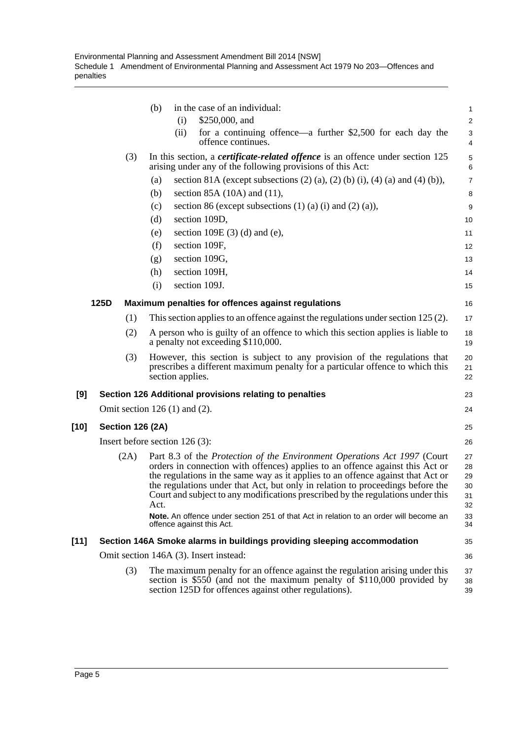|        |                         |     | (b)<br>in the case of an individual:                                                                                                                                                                                                                                                                                                                                                                                             | 1                                |
|--------|-------------------------|-----|----------------------------------------------------------------------------------------------------------------------------------------------------------------------------------------------------------------------------------------------------------------------------------------------------------------------------------------------------------------------------------------------------------------------------------|----------------------------------|
|        |                         |     | \$250,000, and<br>(i)                                                                                                                                                                                                                                                                                                                                                                                                            | $\overline{\mathbf{c}}$          |
|        |                         |     | for a continuing offence—a further \$2,500 for each day the<br>(ii)<br>offence continues.                                                                                                                                                                                                                                                                                                                                        | 3<br>4                           |
|        |                         | (3) | In this section, a <i>certificate-related offence</i> is an offence under section 125<br>arising under any of the following provisions of this Act:                                                                                                                                                                                                                                                                              | 5<br>6                           |
|        |                         |     | section 81A (except subsections $(2)$ (a), $(2)$ (b) (i), $(4)$ (a) and $(4)$ (b)),<br>(a)                                                                                                                                                                                                                                                                                                                                       | $\overline{7}$                   |
|        |                         |     | section 85A $(10A)$ and $(11)$ ,<br>(b)                                                                                                                                                                                                                                                                                                                                                                                          | 8                                |
|        |                         |     | section 86 (except subsections $(1)$ $(a)$ $(i)$ and $(2)$ $(a)$ ),<br>(c)                                                                                                                                                                                                                                                                                                                                                       | 9                                |
|        |                         |     | section 109D,<br>(d)                                                                                                                                                                                                                                                                                                                                                                                                             | 10                               |
|        |                         |     | section 109E $(3)$ $(d)$ and $(e)$ ,<br>(e)                                                                                                                                                                                                                                                                                                                                                                                      | 11                               |
|        |                         |     | (f)<br>section 109F,                                                                                                                                                                                                                                                                                                                                                                                                             | 12                               |
|        |                         |     | section 109G,<br>(g)                                                                                                                                                                                                                                                                                                                                                                                                             | 13                               |
|        |                         |     | section 109H,<br>(h)                                                                                                                                                                                                                                                                                                                                                                                                             | 14                               |
|        |                         |     | section 109J.<br>(i)                                                                                                                                                                                                                                                                                                                                                                                                             | 15                               |
|        | 125D                    |     | Maximum penalties for offences against regulations                                                                                                                                                                                                                                                                                                                                                                               | 16                               |
|        |                         | (1) | This section applies to an offence against the regulations under section 125 (2).                                                                                                                                                                                                                                                                                                                                                | 17                               |
|        |                         | (2) | A person who is guilty of an offence to which this section applies is liable to<br>a penalty not exceeding \$110,000.                                                                                                                                                                                                                                                                                                            | 18<br>19                         |
|        |                         | (3) | However, this section is subject to any provision of the regulations that<br>prescribes a different maximum penalty for a particular offence to which this<br>section applies.                                                                                                                                                                                                                                                   | 20<br>21<br>22                   |
| [9]    |                         |     | Section 126 Additional provisions relating to penalties                                                                                                                                                                                                                                                                                                                                                                          | 23                               |
|        |                         |     | Omit section $126(1)$ and $(2)$ .                                                                                                                                                                                                                                                                                                                                                                                                | 24                               |
| $[10]$ | <b>Section 126 (2A)</b> |     |                                                                                                                                                                                                                                                                                                                                                                                                                                  | 25                               |
|        |                         |     | Insert before section $126(3)$ :                                                                                                                                                                                                                                                                                                                                                                                                 | 26                               |
|        | (2A)                    |     | Part 8.3 of the <i>Protection of the Environment Operations Act 1997</i> (Court<br>orders in connection with offences) applies to an offence against this Act or<br>the regulations in the same way as it applies to an offence against that Act or<br>the regulations under that Act, but only in relation to proceedings before the<br>Court and subject to any modifications prescribed by the regulations under this<br>Act. | 27<br>28<br>29<br>30<br>31<br>32 |
|        |                         |     | Note. An offence under section 251 of that Act in relation to an order will become an<br>offence against this Act.                                                                                                                                                                                                                                                                                                               | 33<br>34                         |
| $[11]$ |                         |     | Section 146A Smoke alarms in buildings providing sleeping accommodation                                                                                                                                                                                                                                                                                                                                                          | 35                               |
|        |                         |     | Omit section 146A (3). Insert instead:                                                                                                                                                                                                                                                                                                                                                                                           | 36                               |
|        |                         | (3) | The maximum penalty for an offence against the regulation arising under this<br>section is $$550$ (and not the maximum penalty of $$110,000$ provided by<br>section 125D for offences against other regulations).                                                                                                                                                                                                                | 37<br>38<br>39                   |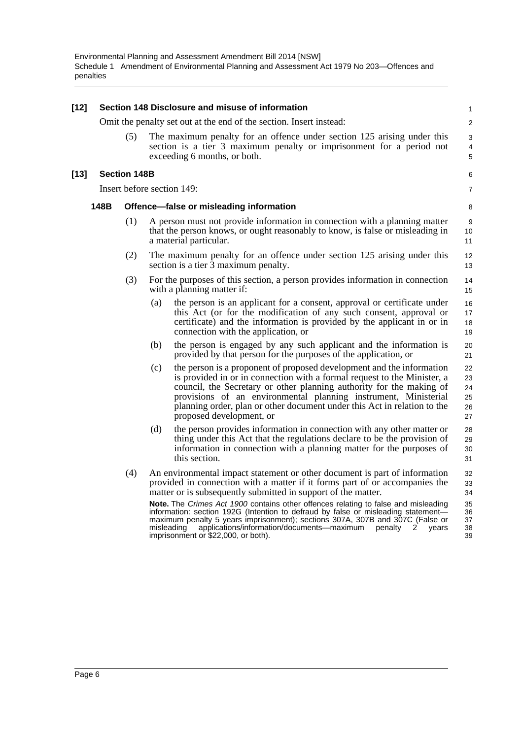| $[12]$ |      |                     |     | Section 148 Disclosure and misuse of information                                                                                                                                                                                                                                                                                                                                                                                                                                                                                                                                                                   | $\mathbf{1}$                                 |
|--------|------|---------------------|-----|--------------------------------------------------------------------------------------------------------------------------------------------------------------------------------------------------------------------------------------------------------------------------------------------------------------------------------------------------------------------------------------------------------------------------------------------------------------------------------------------------------------------------------------------------------------------------------------------------------------------|----------------------------------------------|
|        |      |                     |     | Omit the penalty set out at the end of the section. Insert instead:                                                                                                                                                                                                                                                                                                                                                                                                                                                                                                                                                | 2                                            |
|        |      | (5)                 |     | The maximum penalty for an offence under section 125 arising under this<br>section is a tier 3 maximum penalty or imprisonment for a period not<br>exceeding 6 months, or both.                                                                                                                                                                                                                                                                                                                                                                                                                                    | 3<br>4<br>5                                  |
| $[13]$ |      | <b>Section 148B</b> |     |                                                                                                                                                                                                                                                                                                                                                                                                                                                                                                                                                                                                                    | 6                                            |
|        |      |                     |     | Insert before section 149:                                                                                                                                                                                                                                                                                                                                                                                                                                                                                                                                                                                         | 7                                            |
|        | 148B |                     |     | Offence-false or misleading information                                                                                                                                                                                                                                                                                                                                                                                                                                                                                                                                                                            | 8                                            |
|        |      | (1)                 |     | A person must not provide information in connection with a planning matter<br>that the person knows, or ought reasonably to know, is false or misleading in<br>a material particular.                                                                                                                                                                                                                                                                                                                                                                                                                              | 9<br>10<br>11                                |
|        |      | (2)                 |     | The maximum penalty for an offence under section 125 arising under this<br>section is a tier 3 maximum penalty.                                                                                                                                                                                                                                                                                                                                                                                                                                                                                                    | 12<br>13                                     |
|        |      | (3)                 |     | For the purposes of this section, a person provides information in connection<br>with a planning matter if:                                                                                                                                                                                                                                                                                                                                                                                                                                                                                                        | 14<br>15                                     |
|        |      |                     | (a) | the person is an applicant for a consent, approval or certificate under<br>this Act (or for the modification of any such consent, approval or<br>certificate) and the information is provided by the applicant in or in<br>connection with the application, or                                                                                                                                                                                                                                                                                                                                                     | 16<br>17<br>18<br>19                         |
|        |      |                     | (b) | the person is engaged by any such applicant and the information is<br>provided by that person for the purposes of the application, or                                                                                                                                                                                                                                                                                                                                                                                                                                                                              | 20<br>21                                     |
|        |      |                     | (c) | the person is a proponent of proposed development and the information<br>is provided in or in connection with a formal request to the Minister, a<br>council, the Secretary or other planning authority for the making of<br>provisions of an environmental planning instrument, Ministerial<br>planning order, plan or other document under this Act in relation to the<br>proposed development, or                                                                                                                                                                                                               | 22<br>23<br>24<br>25<br>26<br>27             |
|        |      |                     | (d) | the person provides information in connection with any other matter or<br>thing under this Act that the regulations declare to be the provision of<br>information in connection with a planning matter for the purposes of<br>this section.                                                                                                                                                                                                                                                                                                                                                                        | 28<br>29<br>30<br>31                         |
|        |      | (4)                 |     | An environmental impact statement or other document is part of information<br>provided in connection with a matter if it forms part of or accompanies the<br>matter or is subsequently submitted in support of the matter.<br>Note. The Crimes Act 1900 contains other offences relating to false and misleading<br>information: section 192G (Intention to defraud by false or misleading statement—<br>maximum penalty 5 years imprisonment); sections 307A, 307B and 307C (False or<br>misleading<br>applications/information/documents-maximum<br>penalty<br>2<br>years<br>imprisonment or \$22,000, or both). | 32<br>33<br>34<br>35<br>36<br>37<br>38<br>39 |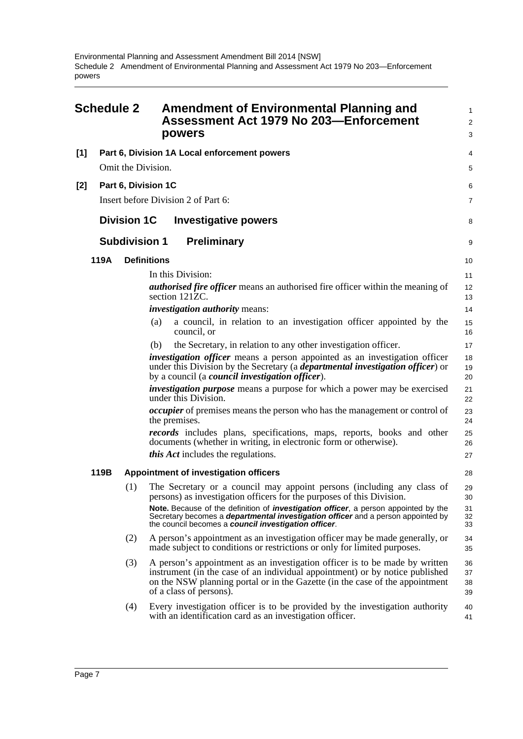<span id="page-9-0"></span>

| <b>Schedule 2</b> |      |                      | <b>Amendment of Environmental Planning and</b><br>Assessment Act 1979 No 203-Enforcement<br>powers                                                                                                                                                                     | 1<br>$\overline{c}$<br>3 |
|-------------------|------|----------------------|------------------------------------------------------------------------------------------------------------------------------------------------------------------------------------------------------------------------------------------------------------------------|--------------------------|
| [1]               |      |                      | Part 6, Division 1A Local enforcement powers                                                                                                                                                                                                                           | 4                        |
|                   |      | Omit the Division.   |                                                                                                                                                                                                                                                                        | 5                        |
| $[2]$             |      | Part 6, Division 1C  |                                                                                                                                                                                                                                                                        | 6                        |
|                   |      |                      | Insert before Division 2 of Part 6:                                                                                                                                                                                                                                    | 7                        |
|                   |      | <b>Division 1C</b>   | <b>Investigative powers</b>                                                                                                                                                                                                                                            | 8                        |
|                   |      | <b>Subdivision 1</b> | <b>Preliminary</b>                                                                                                                                                                                                                                                     | 9                        |
|                   | 119A | <b>Definitions</b>   |                                                                                                                                                                                                                                                                        | 10                       |
|                   |      |                      | In this Division:                                                                                                                                                                                                                                                      | 11                       |
|                   |      |                      | <i>authorised fire officer</i> means an authorised fire officer within the meaning of<br>section 121ZC.                                                                                                                                                                | 12<br>13                 |
|                   |      |                      | <i>investigation authority means:</i>                                                                                                                                                                                                                                  | 14                       |
|                   |      |                      | a council, in relation to an investigation officer appointed by the<br>(a)<br>council, or                                                                                                                                                                              | 15<br>16                 |
|                   |      |                      | the Secretary, in relation to any other investigation officer.<br>(b)                                                                                                                                                                                                  | 17                       |
|                   |      |                      | investigation officer means a person appointed as an investigation officer<br>under this Division by the Secretary (a <i>departmental investigation officer</i> ) or<br>by a council (a <i>council investigation officer</i> ).                                        | 18<br>19<br>20           |
|                   |      |                      | <i>investigation purpose</i> means a purpose for which a power may be exercised<br>under this Division.                                                                                                                                                                | 21<br>22                 |
|                   |      |                      | <i>occupier</i> of premises means the person who has the management or control of<br>the premises.                                                                                                                                                                     | 23<br>24                 |
|                   |      |                      | <i>records</i> includes plans, specifications, maps, reports, books and other<br>documents (whether in writing, in electronic form or otherwise).                                                                                                                      | 25<br>26                 |
|                   |      |                      | <i>this Act</i> includes the regulations.                                                                                                                                                                                                                              | 27                       |
|                   | 119B |                      | Appointment of investigation officers                                                                                                                                                                                                                                  | 28                       |
|                   |      | (1)                  | The Secretary or a council may appoint persons (including any class of<br>persons) as investigation officers for the purposes of this Division.                                                                                                                        | 29<br>30                 |
|                   |      |                      | Note. Because of the definition of <i>investigation officer</i> , a person appointed by the<br>Secretary becomes a <b>departmental investigation officer</b> and a person appointed by<br>the council becomes a council investigation officer.                         | 31<br>32<br>33           |
|                   |      | (2)                  | A person's appointment as an investigation officer may be made generally, or<br>made subject to conditions or restrictions or only for limited purposes.                                                                                                               | 34<br>35                 |
|                   |      | (3)                  | A person's appointment as an investigation officer is to be made by written<br>instrument (in the case of an individual appointment) or by notice published<br>on the NSW planning portal or in the Gazette (in the case of the appointment<br>of a class of persons). | 36<br>37<br>38<br>39     |
|                   |      | (4)                  | Every investigation officer is to be provided by the investigation authority<br>with an identification card as an investigation officer.                                                                                                                               | 40<br>41                 |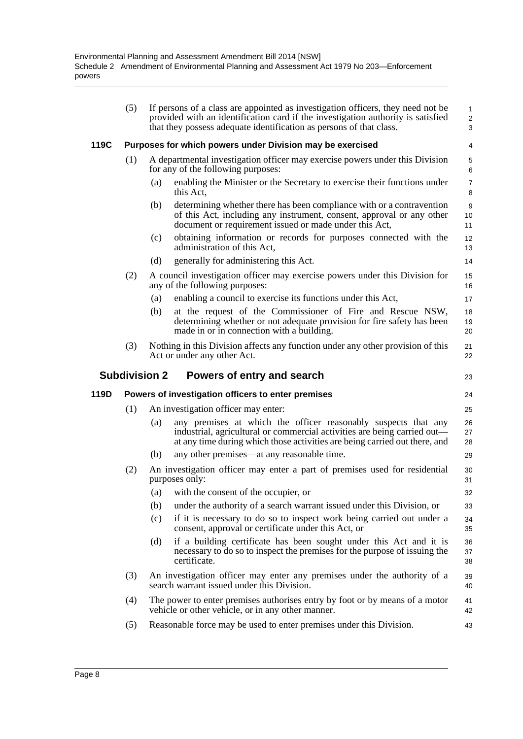|      | (5)                  | If persons of a class are appointed as investigation officers, they need not be<br>provided with an identification card if the investigation authority is satisfied<br>that they possess adequate identification as persons of that class. | $\mathbf{1}$<br>$\overline{2}$<br>3 |
|------|----------------------|--------------------------------------------------------------------------------------------------------------------------------------------------------------------------------------------------------------------------------------------|-------------------------------------|
| 119C |                      | Purposes for which powers under Division may be exercised                                                                                                                                                                                  | 4                                   |
|      | (1)                  | A departmental investigation officer may exercise powers under this Division<br>for any of the following purposes:                                                                                                                         | 5<br>6                              |
|      |                      | enabling the Minister or the Secretary to exercise their functions under<br>(a)<br>this Act.                                                                                                                                               | $\overline{7}$<br>8                 |
|      |                      | (b)<br>determining whether there has been compliance with or a contravention<br>of this Act, including any instrument, consent, approval or any other<br>document or requirement issued or made under this Act,                            | 9<br>10<br>11                       |
|      |                      | obtaining information or records for purposes connected with the<br>(c)<br>administration of this Act.                                                                                                                                     | 12<br>13                            |
|      |                      | (d)<br>generally for administering this Act.                                                                                                                                                                                               | 14                                  |
|      | (2)                  | A council investigation officer may exercise powers under this Division for<br>any of the following purposes:                                                                                                                              | 15<br>16                            |
|      |                      | enabling a council to exercise its functions under this Act,<br>(a)                                                                                                                                                                        | 17                                  |
|      |                      | at the request of the Commissioner of Fire and Rescue NSW,<br>(b)<br>determining whether or not adequate provision for fire safety has been<br>made in or in connection with a building.                                                   | 18<br>19<br>20                      |
|      | (3)                  | Nothing in this Division affects any function under any other provision of this<br>Act or under any other Act.                                                                                                                             | 21<br>22                            |
|      |                      |                                                                                                                                                                                                                                            |                                     |
|      | <b>Subdivision 2</b> | Powers of entry and search                                                                                                                                                                                                                 | 23                                  |
| 119D |                      | Powers of investigation officers to enter premises                                                                                                                                                                                         | 24                                  |
|      | (1)                  | An investigation officer may enter:                                                                                                                                                                                                        | 25                                  |
|      |                      | any premises at which the officer reasonably suspects that any<br>(a)<br>industrial, agricultural or commercial activities are being carried out—<br>at any time during which those activities are being carried out there, and            | 26<br>27<br>28                      |
|      |                      | any other premises—at any reasonable time.<br>(b)                                                                                                                                                                                          | 29                                  |
|      | (2)                  | An investigation officer may enter a part of premises used for residential<br>purposes only:                                                                                                                                               | 30<br>31                            |
|      |                      | (a) with the consent of the occupier, or                                                                                                                                                                                                   | 32                                  |
|      |                      | under the authority of a search warrant issued under this Division, or<br>(b)                                                                                                                                                              | 33                                  |
|      |                      | (c)<br>if it is necessary to do so to inspect work being carried out under a<br>consent, approval or certificate under this Act, or                                                                                                        | 34<br>35                            |
|      |                      | if a building certificate has been sought under this Act and it is<br>(d)<br>necessary to do so to inspect the premises for the purpose of issuing the<br>certificate.                                                                     | 36<br>37<br>38                      |
|      | (3)                  | An investigation officer may enter any premises under the authority of a<br>search warrant issued under this Division.                                                                                                                     | 39<br>40                            |
|      | (4)                  | The power to enter premises authorises entry by foot or by means of a motor<br>vehicle or other vehicle, or in any other manner.                                                                                                           | 41<br>42                            |
|      | (5)                  | Reasonable force may be used to enter premises under this Division.                                                                                                                                                                        | 43                                  |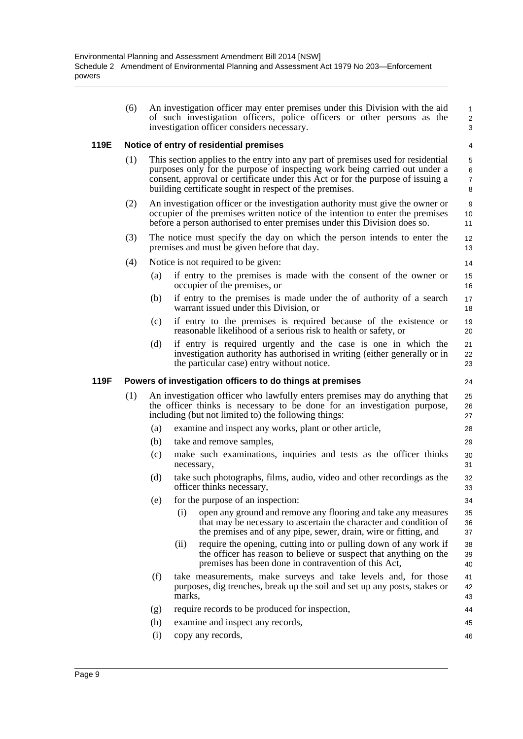|      | (6) |     | An investigation officer may enter premises under this Division with the aid<br>of such investigation officers, police officers or other persons as the<br>investigation officer considers necessary.                                                                                                        | $\mathbf{1}$<br>2<br>3        |
|------|-----|-----|--------------------------------------------------------------------------------------------------------------------------------------------------------------------------------------------------------------------------------------------------------------------------------------------------------------|-------------------------------|
| 119E |     |     | Notice of entry of residential premises                                                                                                                                                                                                                                                                      | 4                             |
|      | (1) |     | This section applies to the entry into any part of premises used for residential<br>purposes only for the purpose of inspecting work being carried out under a<br>consent, approval or certificate under this Act or for the purpose of issuing a<br>building certificate sought in respect of the premises. | 5<br>6<br>$\overline{7}$<br>8 |
|      | (2) |     | An investigation officer or the investigation authority must give the owner or<br>occupier of the premises written notice of the intention to enter the premises<br>before a person authorised to enter premises under this Division does so.                                                                | 9<br>10<br>11                 |
|      | (3) |     | The notice must specify the day on which the person intends to enter the<br>premises and must be given before that day.                                                                                                                                                                                      | 12<br>13                      |
|      | (4) |     | Notice is not required to be given:                                                                                                                                                                                                                                                                          | 14                            |
|      |     | (a) | if entry to the premises is made with the consent of the owner or<br>occupier of the premises, or                                                                                                                                                                                                            | 15<br>16                      |
|      |     | (b) | if entry to the premises is made under the of authority of a search<br>warrant issued under this Division, or                                                                                                                                                                                                | 17<br>18                      |
|      |     | (c) | if entry to the premises is required because of the existence or<br>reasonable likelihood of a serious risk to health or safety, or                                                                                                                                                                          | 19<br>20                      |
|      |     | (d) | if entry is required urgently and the case is one in which the<br>investigation authority has authorised in writing (either generally or in<br>the particular case) entry without notice.                                                                                                                    | 21<br>22<br>23                |
| 119F |     |     | Powers of investigation officers to do things at premises                                                                                                                                                                                                                                                    | 24                            |
|      | (1) |     | An investigation officer who lawfully enters premises may do anything that<br>the officer thinks is necessary to be done for an investigation purpose,<br>including (but not limited to) the following things:                                                                                               | 25<br>26<br>27                |
|      |     | (a) | examine and inspect any works, plant or other article,                                                                                                                                                                                                                                                       | 28                            |
|      |     | (b) | take and remove samples,                                                                                                                                                                                                                                                                                     | 29                            |
|      |     | (c) | make such examinations, inquiries and tests as the officer thinks<br>necessary,                                                                                                                                                                                                                              | 30<br>31                      |
|      |     | (d) | take such photographs, films, audio, video and other recordings as the<br>officer thinks necessary,                                                                                                                                                                                                          | 32<br>33                      |
|      |     | (e) | for the purpose of an inspection:                                                                                                                                                                                                                                                                            | 34                            |
|      |     |     | (i)<br>open any ground and remove any flooring and take any measures<br>that may be necessary to ascertain the character and condition of<br>the premises and of any pipe, sewer, drain, wire or fitting, and                                                                                                | 35<br>36<br>37                |
|      |     |     | require the opening, cutting into or pulling down of any work if<br>(ii)<br>the officer has reason to believe or suspect that anything on the<br>premises has been done in contravention of this Act,                                                                                                        | 38<br>39<br>40                |
|      |     | (f) | take measurements, make surveys and take levels and, for those<br>purposes, dig trenches, break up the soil and set up any posts, stakes or<br>marks,                                                                                                                                                        | 41<br>42<br>43                |
|      |     | (g) | require records to be produced for inspection,                                                                                                                                                                                                                                                               | 44                            |
|      |     | (h) | examine and inspect any records,                                                                                                                                                                                                                                                                             | 45                            |
|      |     | (i) | copy any records,                                                                                                                                                                                                                                                                                            | 46                            |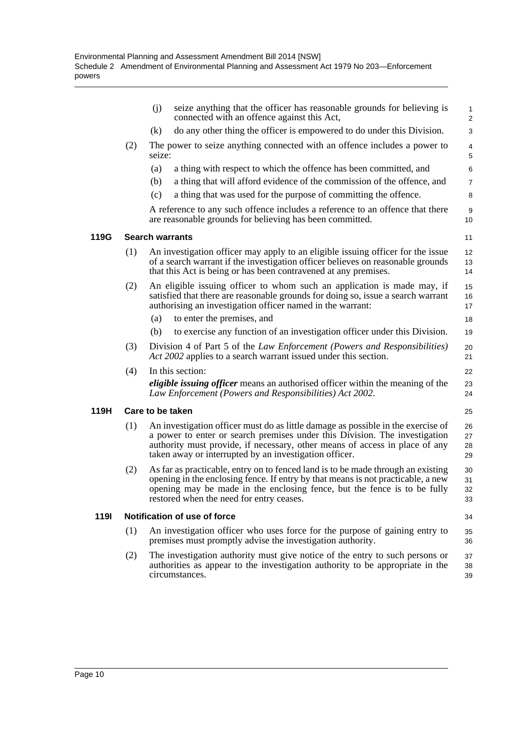|             |     | seize anything that the officer has reasonable grounds for believing is<br>(i)<br>connected with an offence against this Act,                                                                                                                                                                           | 1<br>$\overline{c}$  |
|-------------|-----|---------------------------------------------------------------------------------------------------------------------------------------------------------------------------------------------------------------------------------------------------------------------------------------------------------|----------------------|
|             |     | do any other thing the officer is empowered to do under this Division.<br>(k)                                                                                                                                                                                                                           | 3                    |
|             | (2) | The power to seize anything connected with an offence includes a power to<br>seize:                                                                                                                                                                                                                     | 4<br>5               |
|             |     | (a)<br>a thing with respect to which the offence has been committed, and                                                                                                                                                                                                                                | 6                    |
|             |     | a thing that will afford evidence of the commission of the offence, and<br>(b)                                                                                                                                                                                                                          | 7                    |
|             |     | a thing that was used for the purpose of committing the offence.<br>(c)                                                                                                                                                                                                                                 | 8                    |
|             |     | A reference to any such offence includes a reference to an offence that there<br>are reasonable grounds for believing has been committed.                                                                                                                                                               | 9<br>10              |
| 119G        |     | <b>Search warrants</b>                                                                                                                                                                                                                                                                                  | 11                   |
|             | (1) | An investigation officer may apply to an eligible issuing officer for the issue<br>of a search warrant if the investigation officer believes on reasonable grounds<br>that this Act is being or has been contravened at any premises.                                                                   | 12<br>13<br>14       |
|             | (2) | An eligible issuing officer to whom such an application is made may, if<br>satisfied that there are reasonable grounds for doing so, issue a search warrant<br>authorising an investigation officer named in the warrant:                                                                               | 15<br>16<br>17       |
|             |     | to enter the premises, and<br>(a)                                                                                                                                                                                                                                                                       | 18                   |
|             |     | to exercise any function of an investigation officer under this Division.<br>(b)                                                                                                                                                                                                                        | 19                   |
|             | (3) | Division 4 of Part 5 of the Law Enforcement (Powers and Responsibilities)<br>Act 2002 applies to a search warrant issued under this section.                                                                                                                                                            | 20<br>21             |
|             | (4) | In this section:                                                                                                                                                                                                                                                                                        | 22                   |
|             |     | <i>eligible issuing officer</i> means an authorised officer within the meaning of the<br>Law Enforcement (Powers and Responsibilities) Act 2002.                                                                                                                                                        | 23<br>24             |
| 119H        |     | Care to be taken                                                                                                                                                                                                                                                                                        | 25                   |
|             | (1) | An investigation officer must do as little damage as possible in the exercise of<br>a power to enter or search premises under this Division. The investigation<br>authority must provide, if necessary, other means of access in place of any<br>taken away or interrupted by an investigation officer. | 26<br>27<br>28<br>29 |
|             | (2) | As far as practicable, entry on to fenced land is to be made through an existing<br>opening in the enclosing fence. If entry by that means is not practicable, a new<br>opening may be made in the enclosing fence, but the fence is to be fully<br>restored when the need for entry ceases.            | 30<br>31<br>32<br>33 |
| <b>1191</b> |     | Notification of use of force                                                                                                                                                                                                                                                                            | 34                   |
|             | (1) | An investigation officer who uses force for the purpose of gaining entry to<br>premises must promptly advise the investigation authority.                                                                                                                                                               | 35<br>36             |
|             | (2) | The investigation authority must give notice of the entry to such persons or<br>authorities as appear to the investigation authority to be appropriate in the<br>circumstances.                                                                                                                         | 37<br>38<br>39       |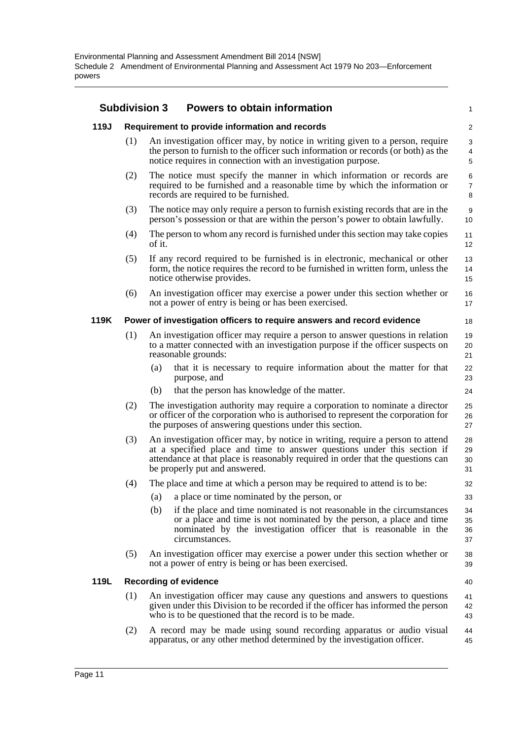|      | <b>Subdivision 3</b> | <b>Powers to obtain information</b>                                                                                                                                                                                                                                           | $\mathbf{1}$             |
|------|----------------------|-------------------------------------------------------------------------------------------------------------------------------------------------------------------------------------------------------------------------------------------------------------------------------|--------------------------|
| 119J |                      | Requirement to provide information and records                                                                                                                                                                                                                                | $\overline{2}$           |
|      | (1)                  | An investigation officer may, by notice in writing given to a person, require<br>the person to furnish to the officer such information or records (or both) as the<br>notice requires in connection with an investigation purpose.                                            | 3<br>4<br>5              |
|      | (2)                  | The notice must specify the manner in which information or records are<br>required to be furnished and a reasonable time by which the information or<br>records are required to be furnished.                                                                                 | 6<br>$\overline{7}$<br>8 |
|      | (3)                  | The notice may only require a person to furnish existing records that are in the<br>person's possession or that are within the person's power to obtain lawfully.                                                                                                             | 9<br>10                  |
|      | (4)                  | The person to whom any record is furnished under this section may take copies<br>of it.                                                                                                                                                                                       | 11<br>12                 |
|      | (5)                  | If any record required to be furnished is in electronic, mechanical or other<br>form, the notice requires the record to be furnished in written form, unless the<br>notice otherwise provides.                                                                                | 13<br>14<br>15           |
|      | (6)                  | An investigation officer may exercise a power under this section whether or<br>not a power of entry is being or has been exercised.                                                                                                                                           | 16<br>17                 |
| 119K |                      | Power of investigation officers to require answers and record evidence                                                                                                                                                                                                        | 18                       |
|      | (1)                  | An investigation officer may require a person to answer questions in relation<br>to a matter connected with an investigation purpose if the officer suspects on<br>reasonable grounds:                                                                                        | 19<br>20<br>21           |
|      |                      | that it is necessary to require information about the matter for that<br>(a)<br>purpose, and                                                                                                                                                                                  | 22<br>23                 |
|      |                      | (b)<br>that the person has knowledge of the matter.                                                                                                                                                                                                                           | 24                       |
|      | (2)                  | The investigation authority may require a corporation to nominate a director<br>or officer of the corporation who is authorised to represent the corporation for<br>the purposes of answering questions under this section.                                                   | 25<br>26<br>27           |
|      | (3)                  | An investigation officer may, by notice in writing, require a person to attend<br>at a specified place and time to answer questions under this section if<br>attendance at that place is reasonably required in order that the questions can<br>be properly put and answered. | 28<br>29<br>30<br>31     |
|      | (4)                  | The place and time at which a person may be required to attend is to be:                                                                                                                                                                                                      | 32                       |
|      |                      | (a) a place or time nominated by the person, or                                                                                                                                                                                                                               | 33                       |
|      |                      | if the place and time nominated is not reasonable in the circumstances<br>(b)<br>or a place and time is not nominated by the person, a place and time<br>nominated by the investigation officer that is reasonable in the<br>circumstances.                                   | 34<br>35<br>36<br>37     |
|      | (5)                  | An investigation officer may exercise a power under this section whether or<br>not a power of entry is being or has been exercised.                                                                                                                                           | 38<br>39                 |
| 119L |                      | <b>Recording of evidence</b>                                                                                                                                                                                                                                                  | 40                       |
|      | (1)                  | An investigation officer may cause any questions and answers to questions<br>given under this Division to be recorded if the officer has informed the person<br>who is to be questioned that the record is to be made.                                                        | 41<br>42<br>43           |
|      | (2)                  | A record may be made using sound recording apparatus or audio visual<br>apparatus, or any other method determined by the investigation officer.                                                                                                                               | 44<br>45                 |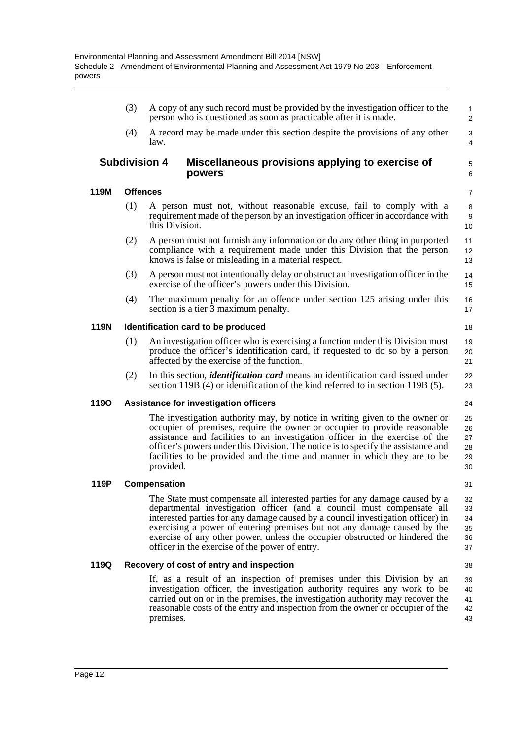(3) A copy of any such record must be provided by the investigation officer to the person who is questioned as soon as practicable after it is made.

5 6

31

38

(4) A record may be made under this section despite the provisions of any other law.

#### **Subdivision 4 Miscellaneous provisions applying to exercise of powers**

#### **119M Offences**

- (1) A person must not, without reasonable excuse, fail to comply with a requirement made of the person by an investigation officer in accordance with this Division.
- (2) A person must not furnish any information or do any other thing in purported compliance with a requirement made under this Division that the person knows is false or misleading in a material respect.
- (3) A person must not intentionally delay or obstruct an investigation officer in the exercise of the officer's powers under this Division.
- (4) The maximum penalty for an offence under section 125 arising under this section is a tier 3 maximum penalty. 16 17

#### **119N Identification card to be produced**

- (1) An investigation officer who is exercising a function under this Division must produce the officer's identification card, if requested to do so by a person affected by the exercise of the function.
- (2) In this section, *identification card* means an identification card issued under section 119B (4) or identification of the kind referred to in section 119B (5).

#### **119O Assistance for investigation officers**

The investigation authority may, by notice in writing given to the owner or occupier of premises, require the owner or occupier to provide reasonable assistance and facilities to an investigation officer in the exercise of the officer's powers under this Division. The notice is to specify the assistance and facilities to be provided and the time and manner in which they are to be provided.

#### **119P Compensation**

The State must compensate all interested parties for any damage caused by a departmental investigation officer (and a council must compensate all interested parties for any damage caused by a council investigation officer) in exercising a power of entering premises but not any damage caused by the exercise of any other power, unless the occupier obstructed or hindered the officer in the exercise of the power of entry. 32 33  $34$ 35 36 37

#### **119Q Recovery of cost of entry and inspection**

If, as a result of an inspection of premises under this Division by an investigation officer, the investigation authority requires any work to be carried out on or in the premises, the investigation authority may recover the reasonable costs of the entry and inspection from the owner or occupier of the premises. 39 40 41 42 43

Page 12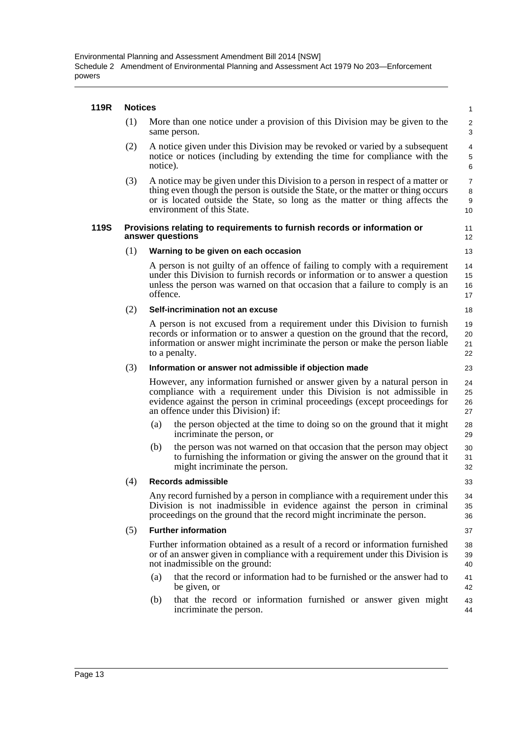#### **119R Notices**

| 119R | <b>NOTICES</b> |                                                                                                                                                                                                                                                                                  | 1                              |
|------|----------------|----------------------------------------------------------------------------------------------------------------------------------------------------------------------------------------------------------------------------------------------------------------------------------|--------------------------------|
|      | (1)            | More than one notice under a provision of this Division may be given to the<br>same person.                                                                                                                                                                                      | $\overline{2}$<br>3            |
|      | (2)            | A notice given under this Division may be revoked or varied by a subsequent<br>notice or notices (including by extending the time for compliance with the<br>notice).                                                                                                            | 4<br>$\mathbf 5$<br>6          |
|      | (3)            | A notice may be given under this Division to a person in respect of a matter or<br>thing even though the person is outside the State, or the matter or thing occurs<br>or is located outside the State, so long as the matter or thing affects the<br>environment of this State. | $\overline{7}$<br>8<br>9<br>10 |
| 119S |                | Provisions relating to requirements to furnish records or information or<br>answer questions                                                                                                                                                                                     | 11<br>12                       |
|      | (1)            | Warning to be given on each occasion                                                                                                                                                                                                                                             | 13                             |
|      |                | A person is not guilty of an offence of failing to comply with a requirement<br>under this Division to furnish records or information or to answer a question<br>unless the person was warned on that occasion that a failure to comply is an<br>offence.                        | 14<br>15<br>16<br>17           |
|      | (2)            | Self-incrimination not an excuse                                                                                                                                                                                                                                                 | 18                             |
|      |                | A person is not excused from a requirement under this Division to furnish<br>records or information or to answer a question on the ground that the record,<br>information or answer might incriminate the person or make the person liable<br>to a penalty.                      | 19<br>20<br>21<br>22           |
|      | (3)            | Information or answer not admissible if objection made                                                                                                                                                                                                                           | 23                             |
|      |                | However, any information furnished or answer given by a natural person in<br>compliance with a requirement under this Division is not admissible in<br>evidence against the person in criminal proceedings (except proceedings for<br>an offence under this Division) if:        | 24<br>25<br>26<br>27           |
|      |                | the person objected at the time to doing so on the ground that it might<br>(a)<br>incriminate the person, or                                                                                                                                                                     | 28<br>29                       |
|      |                | the person was not warned on that occasion that the person may object<br>(b)<br>to furnishing the information or giving the answer on the ground that it<br>might incriminate the person.                                                                                        | 30<br>31<br>32                 |
|      | (4)            | Records admissible                                                                                                                                                                                                                                                               | 33                             |
|      |                | Any record furnished by a person in compliance with a requirement under this<br>Division is not inadmissible in evidence against the person in criminal<br>proceedings on the ground that the record might incriminate the person.                                               | 34<br>35<br>36                 |
|      | (5)            | <b>Further information</b>                                                                                                                                                                                                                                                       | 37                             |
|      |                | Further information obtained as a result of a record or information furnished<br>or of an answer given in compliance with a requirement under this Division is<br>not inadmissible on the ground:                                                                                | 38<br>39<br>40                 |
|      |                | that the record or information had to be furnished or the answer had to<br>(a)<br>be given, or                                                                                                                                                                                   | 41<br>42                       |
|      |                | that the record or information furnished or answer given might<br>(b)<br>incriminate the person.                                                                                                                                                                                 | 43<br>44                       |
|      |                |                                                                                                                                                                                                                                                                                  |                                |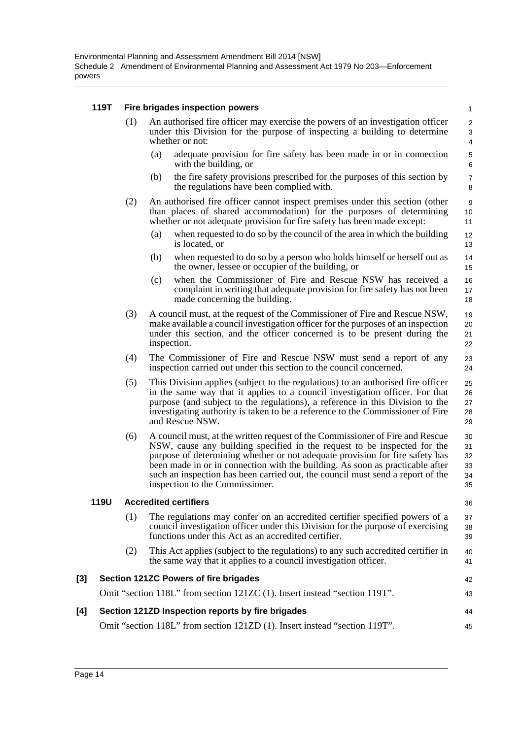#### **119T Fire brigades inspection powers**

| (1) | An authorised fire officer may exercise the powers of an investigation officer<br>under this Division for the purpose of inspecting a building to determine<br>whether or not: |
|-----|--------------------------------------------------------------------------------------------------------------------------------------------------------------------------------|
|     |                                                                                                                                                                                |

- (a) adequate provision for fire safety has been made in or in connection with the building, or
- (b) the fire safety provisions prescribed for the purposes of this section by the regulations have been complied with.
- (2) An authorised fire officer cannot inspect premises under this section (other than places of shared accommodation) for the purposes of determining whether or not adequate provision for fire safety has been made except:
	- (a) when requested to do so by the council of the area in which the building is located, or
	- (b) when requested to do so by a person who holds himself or herself out as the owner, lessee or occupier of the building, or
	- (c) when the Commissioner of Fire and Rescue NSW has received a complaint in writing that adequate provision for fire safety has not been made concerning the building.
- (3) A council must, at the request of the Commissioner of Fire and Rescue NSW, make available a council investigation officer for the purposes of an inspection under this section, and the officer concerned is to be present during the inspection. 19 20 21 22
- (4) The Commissioner of Fire and Rescue NSW must send a report of any inspection carried out under this section to the council concerned.
- (5) This Division applies (subject to the regulations) to an authorised fire officer in the same way that it applies to a council investigation officer. For that purpose (and subject to the regulations), a reference in this Division to the investigating authority is taken to be a reference to the Commissioner of Fire and Rescue NSW. 25 26 27 28 29
- (6) A council must, at the written request of the Commissioner of Fire and Rescue NSW, cause any building specified in the request to be inspected for the purpose of determining whether or not adequate provision for fire safety has been made in or in connection with the building. As soon as practicable after such an inspection has been carried out, the council must send a report of the inspection to the Commissioner. 30 31 32 33 34 35

#### **119U Accredited certifiers**

36

42 43

23 24

- (1) The regulations may confer on an accredited certifier specified powers of a council investigation officer under this Division for the purpose of exercising functions under this Act as an accredited certifier. 37 38 39
- (2) This Act applies (subject to the regulations) to any such accredited certifier in the same way that it applies to a council investigation officer. 40 41

#### **[3] Section 121ZC Powers of fire brigades**

Omit "section 118L" from section 121ZC (1). Insert instead "section 119T".

| [4] Section 121ZD Inspection reports by fire brigades                      | 44 |
|----------------------------------------------------------------------------|----|
| Omit "section 118L" from section 121ZD (1). Insert instead "section 119T". | 45 |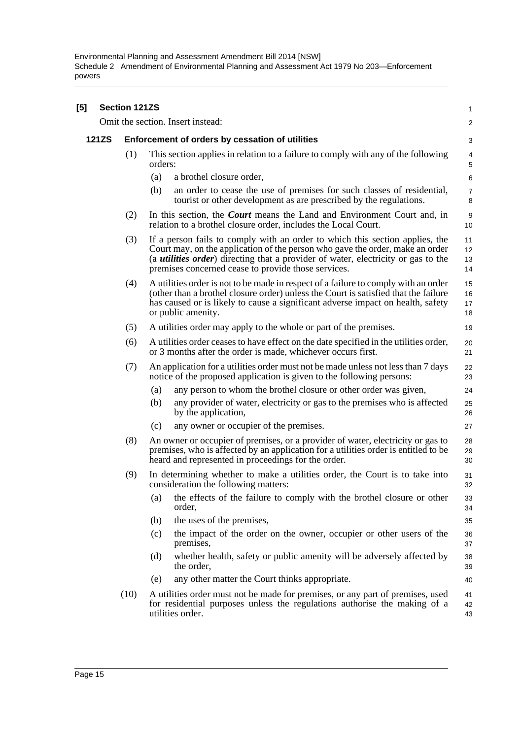Environmental Planning and Assessment Amendment Bill 2014 [NSW] Schedule 2 Amendment of Environmental Planning and Assessment Act 1979 No 203—Enforcement powers

| [5] |              | <b>Section 121ZS</b> |         |                                                                                                                                                                                                                                                                                                                   | $\mathbf{1}$         |
|-----|--------------|----------------------|---------|-------------------------------------------------------------------------------------------------------------------------------------------------------------------------------------------------------------------------------------------------------------------------------------------------------------------|----------------------|
|     |              |                      |         | Omit the section. Insert instead:                                                                                                                                                                                                                                                                                 | $\overline{2}$       |
|     | <b>121ZS</b> |                      |         | Enforcement of orders by cessation of utilities                                                                                                                                                                                                                                                                   | 3                    |
|     |              | (1)                  | orders: | This section applies in relation to a failure to comply with any of the following                                                                                                                                                                                                                                 | 4<br>5               |
|     |              |                      | (a)     | a brothel closure order,                                                                                                                                                                                                                                                                                          | 6                    |
|     |              |                      | (b)     | an order to cease the use of premises for such classes of residential,<br>tourist or other development as are prescribed by the regulations.                                                                                                                                                                      | $\overline{7}$<br>8  |
|     |              | (2)                  |         | In this section, the <i>Court</i> means the Land and Environment Court and, in<br>relation to a brothel closure order, includes the Local Court.                                                                                                                                                                  | 9<br>10              |
|     |              | (3)                  |         | If a person fails to comply with an order to which this section applies, the<br>Court may, on the application of the person who gave the order, make an order<br>(a <i>utilities order</i> ) directing that a provider of water, electricity or gas to the<br>premises concerned cease to provide those services. | 11<br>12<br>13<br>14 |
|     |              | (4)                  |         | A utilities order is not to be made in respect of a failure to comply with an order<br>(other than a brothel closure order) unless the Court is satisfied that the failure<br>has caused or is likely to cause a significant adverse impact on health, safety<br>or public amenity.                               | 15<br>16<br>17<br>18 |
|     |              | (5)                  |         | A utilities order may apply to the whole or part of the premises.                                                                                                                                                                                                                                                 | 19                   |
|     |              | (6)                  |         | A utilities order ceases to have effect on the date specified in the utilities order,<br>or 3 months after the order is made, whichever occurs first.                                                                                                                                                             | 20<br>21             |
|     |              | (7)                  |         | An application for a utilities order must not be made unless not less than 7 days<br>notice of the proposed application is given to the following persons:                                                                                                                                                        | 22<br>23             |
|     |              |                      | (a)     | any person to whom the brothel closure or other order was given,                                                                                                                                                                                                                                                  | 24                   |
|     |              |                      | (b)     | any provider of water, electricity or gas to the premises who is affected<br>by the application,                                                                                                                                                                                                                  | 25<br>26             |
|     |              |                      | (c)     | any owner or occupier of the premises.                                                                                                                                                                                                                                                                            | 27                   |
|     |              | (8)                  |         | An owner or occupier of premises, or a provider of water, electricity or gas to<br>premises, who is affected by an application for a utilities order is entitled to be<br>heard and represented in proceedings for the order.                                                                                     | 28<br>29<br>30       |
|     |              | (9)                  |         | In determining whether to make a utilities order, the Court is to take into<br>consideration the following matters:                                                                                                                                                                                               | 31<br>32             |
|     |              |                      | (a)     | the effects of the failure to comply with the brothel closure or other<br>order,                                                                                                                                                                                                                                  | 33<br>34             |
|     |              |                      | (b)     | the uses of the premises,                                                                                                                                                                                                                                                                                         | 35                   |
|     |              |                      | (c)     | the impact of the order on the owner, occupier or other users of the<br>premises,                                                                                                                                                                                                                                 | 36<br>37             |
|     |              |                      | (d)     | whether health, safety or public amenity will be adversely affected by<br>the order.                                                                                                                                                                                                                              | 38<br>39             |
|     |              |                      | (e)     | any other matter the Court thinks appropriate.                                                                                                                                                                                                                                                                    | 40                   |
|     |              | (10)                 |         | A utilities order must not be made for premises, or any part of premises, used<br>for residential purposes unless the regulations authorise the making of a<br>utilities order.                                                                                                                                   | 41<br>42<br>43       |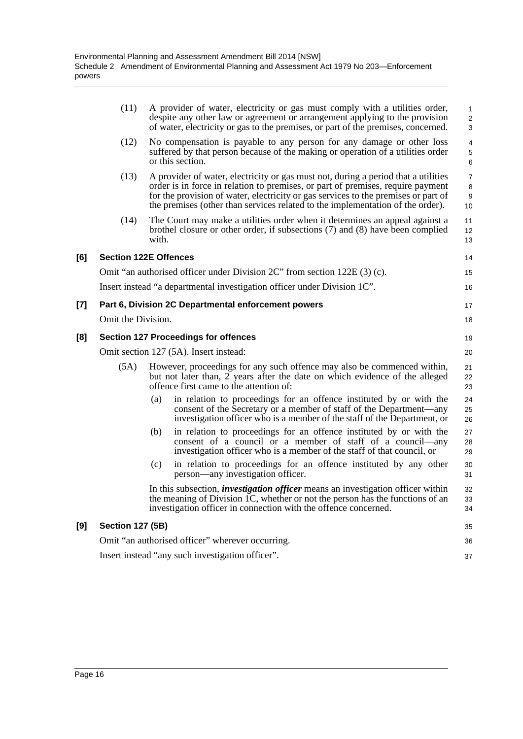|       | (11)                                             |       | A provider of water, electricity or gas must comply with a utilities order,<br>despite any other law or agreement or arrangement applying to the provision<br>of water, electricity or gas to the premises, or part of the premises, concerned.                                                                                               | $\mathbf{1}$<br>$\overline{2}$<br>3 |  |
|-------|--------------------------------------------------|-------|-----------------------------------------------------------------------------------------------------------------------------------------------------------------------------------------------------------------------------------------------------------------------------------------------------------------------------------------------|-------------------------------------|--|
|       | (12)                                             |       | No compensation is payable to any person for any damage or other loss<br>suffered by that person because of the making or operation of a utilities order<br>or this section.                                                                                                                                                                  | $\overline{4}$<br>5<br>6            |  |
|       | (13)                                             |       | A provider of water, electricity or gas must not, during a period that a utilities<br>order is in force in relation to premises, or part of premises, require payment<br>for the provision of water, electricity or gas services to the premises or part of<br>the premises (other than services related to the implementation of the order). | $\overline{7}$<br>8<br>9<br>10      |  |
|       | (14)                                             | with. | The Court may make a utilities order when it determines an appeal against a<br>brothel closure or other order, if subsections (7) and (8) have been complied                                                                                                                                                                                  | 11<br>12<br>13                      |  |
| [6]   | <b>Section 122E Offences</b>                     |       |                                                                                                                                                                                                                                                                                                                                               | 14                                  |  |
|       |                                                  |       | Omit "an authorised officer under Division 2C" from section 122E (3) (c).                                                                                                                                                                                                                                                                     | 15                                  |  |
|       |                                                  |       | Insert instead "a departmental investigation officer under Division 1C".                                                                                                                                                                                                                                                                      | 16                                  |  |
| $[7]$ |                                                  |       | Part 6, Division 2C Departmental enforcement powers                                                                                                                                                                                                                                                                                           | 17                                  |  |
|       | Omit the Division.                               |       |                                                                                                                                                                                                                                                                                                                                               | 18                                  |  |
| [8]   |                                                  |       | <b>Section 127 Proceedings for offences</b>                                                                                                                                                                                                                                                                                                   | 19                                  |  |
|       |                                                  |       | Omit section 127 (5A). Insert instead:                                                                                                                                                                                                                                                                                                        | 20                                  |  |
|       | (5A)                                             |       | However, proceedings for any such offence may also be commenced within,<br>but not later than, 2 years after the date on which evidence of the alleged<br>offence first came to the attention of:                                                                                                                                             | 21<br>22<br>23                      |  |
|       |                                                  | (a)   | in relation to proceedings for an offence instituted by or with the<br>consent of the Secretary or a member of staff of the Department—any<br>investigation officer who is a member of the staff of the Department, or                                                                                                                        | 24<br>25<br>26                      |  |
|       |                                                  | (b)   | in relation to proceedings for an offence instituted by or with the<br>consent of a council or a member of staff of a council—any<br>investigation officer who is a member of the staff of that council, or                                                                                                                                   | 27<br>28<br>29                      |  |
|       |                                                  | (c)   | in relation to proceedings for an offence instituted by any other<br>person—any investigation officer.                                                                                                                                                                                                                                        | 30<br>31                            |  |
|       |                                                  |       | In this subsection, <i>investigation officer</i> means an investigation officer within<br>the meaning of Division 1C, whether or not the person has the functions of an<br>investigation officer in connection with the offence concerned.                                                                                                    | 32<br>33<br>34                      |  |
| [9]   | <b>Section 127 (5B)</b>                          |       |                                                                                                                                                                                                                                                                                                                                               | 35                                  |  |
|       |                                                  |       | Omit "an authorised officer" wherever occurring.                                                                                                                                                                                                                                                                                              | 36                                  |  |
|       | Insert instead "any such investigation officer". |       |                                                                                                                                                                                                                                                                                                                                               |                                     |  |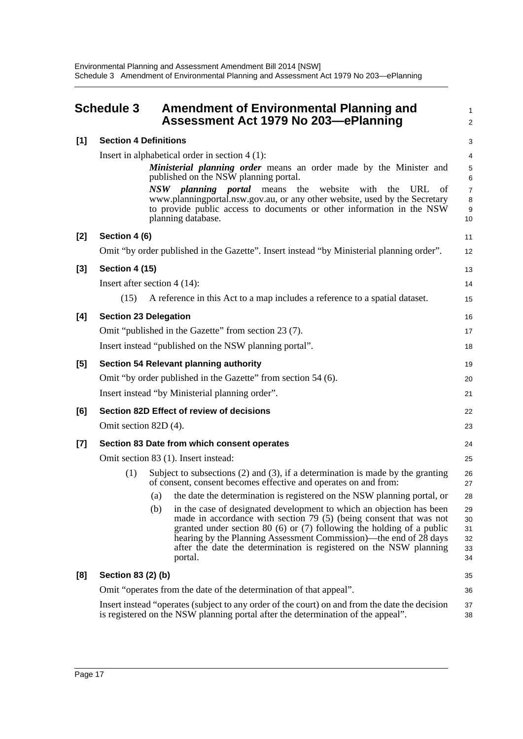<span id="page-19-0"></span>

| <b>Schedule 3</b> |                                                                    |                              | Amendment of Environmental Planning and<br>Assessment Act 1979 No 203-ePlanning                                                                                                                                                                                                                                                                                                |                                  |  |  |
|-------------------|--------------------------------------------------------------------|------------------------------|--------------------------------------------------------------------------------------------------------------------------------------------------------------------------------------------------------------------------------------------------------------------------------------------------------------------------------------------------------------------------------|----------------------------------|--|--|
| [1]               | <b>Section 4 Definitions</b>                                       |                              |                                                                                                                                                                                                                                                                                                                                                                                | 3                                |  |  |
|                   |                                                                    |                              | Insert in alphabetical order in section $4(1)$ :                                                                                                                                                                                                                                                                                                                               | $\overline{4}$                   |  |  |
|                   |                                                                    |                              | Ministerial planning order means an order made by the Minister and<br>published on the NSW planning portal.                                                                                                                                                                                                                                                                    | 5<br>6                           |  |  |
|                   |                                                                    |                              | NSW planning portal means<br>website<br>the<br>with<br>the<br><b>URL</b><br>ot<br>www.planningportal.nsw.gov.au, or any other website, used by the Secretary<br>to provide public access to documents or other information in the NSW<br>planning database.                                                                                                                    | $\overline{7}$<br>8<br>9<br>10   |  |  |
| [2]               | Section 4 (6)                                                      |                              |                                                                                                                                                                                                                                                                                                                                                                                | 11                               |  |  |
|                   |                                                                    |                              | Omit "by order published in the Gazette". Insert instead "by Ministerial planning order".                                                                                                                                                                                                                                                                                      | 12                               |  |  |
| [3]               | <b>Section 4 (15)</b>                                              |                              |                                                                                                                                                                                                                                                                                                                                                                                | 13                               |  |  |
|                   | Insert after section $4(14)$ :                                     |                              |                                                                                                                                                                                                                                                                                                                                                                                | 14                               |  |  |
|                   | (15)                                                               |                              | A reference in this Act to a map includes a reference to a spatial dataset.                                                                                                                                                                                                                                                                                                    | 15                               |  |  |
| [4]               |                                                                    | <b>Section 23 Delegation</b> |                                                                                                                                                                                                                                                                                                                                                                                |                                  |  |  |
|                   | Omit "published in the Gazette" from section 23 (7).               |                              |                                                                                                                                                                                                                                                                                                                                                                                |                                  |  |  |
|                   |                                                                    |                              | Insert instead "published on the NSW planning portal".                                                                                                                                                                                                                                                                                                                         | 18                               |  |  |
| [5]               | <b>Section 54 Relevant planning authority</b>                      |                              |                                                                                                                                                                                                                                                                                                                                                                                |                                  |  |  |
|                   |                                                                    |                              | Omit "by order published in the Gazette" from section 54 (6).                                                                                                                                                                                                                                                                                                                  | 20                               |  |  |
|                   |                                                                    |                              | Insert instead "by Ministerial planning order".                                                                                                                                                                                                                                                                                                                                | 21                               |  |  |
| [6]               |                                                                    |                              | Section 82D Effect of review of decisions                                                                                                                                                                                                                                                                                                                                      | 22                               |  |  |
|                   | Omit section 82D (4).                                              |                              |                                                                                                                                                                                                                                                                                                                                                                                | 23                               |  |  |
| $[7]$             |                                                                    |                              | Section 83 Date from which consent operates                                                                                                                                                                                                                                                                                                                                    | 24                               |  |  |
|                   | Omit section 83 (1). Insert instead:<br>25                         |                              |                                                                                                                                                                                                                                                                                                                                                                                |                                  |  |  |
|                   | (1)                                                                |                              | Subject to subsections $(2)$ and $(3)$ , if a determination is made by the granting<br>of consent, consent becomes effective and operates on and from:                                                                                                                                                                                                                         | 26<br>27                         |  |  |
|                   |                                                                    | (a)                          | the date the determination is registered on the NSW planning portal, or                                                                                                                                                                                                                                                                                                        | 28                               |  |  |
|                   |                                                                    | (b)                          | in the case of designated development to which an objection has been<br>made in accordance with section $79(5)$ (being consent that was not<br>granted under section 80 $(6)$ or $(7)$ following the holding of a public<br>hearing by the Planning Assessment Commission)—the end of 28 days<br>after the date the determination is registered on the NSW planning<br>portal. | 29<br>30<br>31<br>32<br>33<br>34 |  |  |
| [8]               | Section 83 (2) (b)                                                 |                              |                                                                                                                                                                                                                                                                                                                                                                                |                                  |  |  |
|                   | Omit "operates from the date of the determination of that appeal". |                              |                                                                                                                                                                                                                                                                                                                                                                                |                                  |  |  |
|                   |                                                                    |                              | Insert instead "operates (subject to any order of the court) on and from the date the decision<br>is registered on the NSW planning portal after the determination of the appeal".                                                                                                                                                                                             | 37<br>38                         |  |  |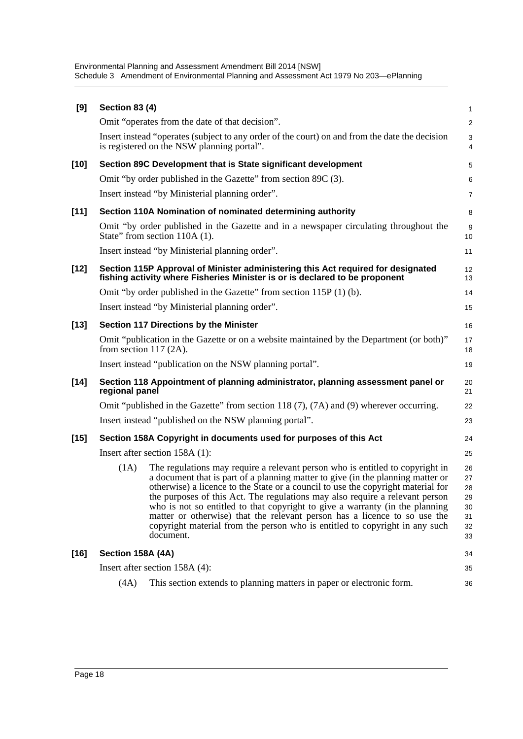Environmental Planning and Assessment Amendment Bill 2014 [NSW] Schedule 3 Amendment of Environmental Planning and Assessment Act 1979 No 203—ePlanning

| [9]    | <b>Section 83 (4)</b>    |                                                                                                                                                                                                                                                                                                                                                                                                                                                                                                                                                                                               | 1                                            |
|--------|--------------------------|-----------------------------------------------------------------------------------------------------------------------------------------------------------------------------------------------------------------------------------------------------------------------------------------------------------------------------------------------------------------------------------------------------------------------------------------------------------------------------------------------------------------------------------------------------------------------------------------------|----------------------------------------------|
|        |                          | Omit "operates from the date of that decision".                                                                                                                                                                                                                                                                                                                                                                                                                                                                                                                                               | $\overline{a}$                               |
|        |                          | Insert instead "operates (subject to any order of the court) on and from the date the decision<br>is registered on the NSW planning portal".                                                                                                                                                                                                                                                                                                                                                                                                                                                  | 3<br>4                                       |
| $[10]$ |                          | Section 89C Development that is State significant development                                                                                                                                                                                                                                                                                                                                                                                                                                                                                                                                 | 5                                            |
|        |                          | Omit "by order published in the Gazette" from section 89C (3).                                                                                                                                                                                                                                                                                                                                                                                                                                                                                                                                | 6                                            |
|        |                          | Insert instead "by Ministerial planning order".                                                                                                                                                                                                                                                                                                                                                                                                                                                                                                                                               | 7                                            |
| $[11]$ |                          | Section 110A Nomination of nominated determining authority                                                                                                                                                                                                                                                                                                                                                                                                                                                                                                                                    | 8                                            |
|        |                          | Omit "by order published in the Gazette and in a newspaper circulating throughout the<br>State" from section 110A (1).                                                                                                                                                                                                                                                                                                                                                                                                                                                                        | 9<br>10                                      |
|        |                          | Insert instead "by Ministerial planning order".                                                                                                                                                                                                                                                                                                                                                                                                                                                                                                                                               | 11                                           |
| $[12]$ |                          | Section 115P Approval of Minister administering this Act required for designated<br>fishing activity where Fisheries Minister is or is declared to be proponent                                                                                                                                                                                                                                                                                                                                                                                                                               | 12<br>13                                     |
|        |                          | Omit "by order published in the Gazette" from section 115P (1) (b).                                                                                                                                                                                                                                                                                                                                                                                                                                                                                                                           | 14                                           |
|        |                          | Insert instead "by Ministerial planning order".                                                                                                                                                                                                                                                                                                                                                                                                                                                                                                                                               | 15                                           |
| $[13]$ |                          | Section 117 Directions by the Minister                                                                                                                                                                                                                                                                                                                                                                                                                                                                                                                                                        | 16                                           |
|        | from section $117(2A)$ . | Omit "publication in the Gazette or on a website maintained by the Department (or both)"                                                                                                                                                                                                                                                                                                                                                                                                                                                                                                      | 17<br>18                                     |
|        |                          | Insert instead "publication on the NSW planning portal".                                                                                                                                                                                                                                                                                                                                                                                                                                                                                                                                      | 19                                           |
| $[14]$ | regional panel           | Section 118 Appointment of planning administrator, planning assessment panel or                                                                                                                                                                                                                                                                                                                                                                                                                                                                                                               | 20<br>21                                     |
|        |                          | Omit "published in the Gazette" from section 118 (7), (7A) and (9) wherever occurring.                                                                                                                                                                                                                                                                                                                                                                                                                                                                                                        | 22                                           |
|        |                          | Insert instead "published on the NSW planning portal".                                                                                                                                                                                                                                                                                                                                                                                                                                                                                                                                        | 23                                           |
| $[15]$ |                          | Section 158A Copyright in documents used for purposes of this Act                                                                                                                                                                                                                                                                                                                                                                                                                                                                                                                             | 24                                           |
|        |                          | Insert after section 158A (1):                                                                                                                                                                                                                                                                                                                                                                                                                                                                                                                                                                | 25                                           |
|        | (1A)                     | The regulations may require a relevant person who is entitled to copyright in<br>a document that is part of a planning matter to give (in the planning matter or<br>otherwise) a licence to the State or a council to use the copyright material for<br>the purposes of this Act. The regulations may also require a relevant person<br>who is not so entitled to that copyright to give a warranty (in the planning<br>matter or otherwise) that the relevant person has a licence to so use the<br>copyright material from the person who is entitled to copyright in any such<br>document. | 26<br>27<br>28<br>29<br>30<br>31<br>32<br>33 |
| $[16]$ | Section 158A (4A)        |                                                                                                                                                                                                                                                                                                                                                                                                                                                                                                                                                                                               | 34                                           |
|        |                          | Insert after section 158A (4):                                                                                                                                                                                                                                                                                                                                                                                                                                                                                                                                                                | 35                                           |
|        | (4A)                     | This section extends to planning matters in paper or electronic form.                                                                                                                                                                                                                                                                                                                                                                                                                                                                                                                         | 36                                           |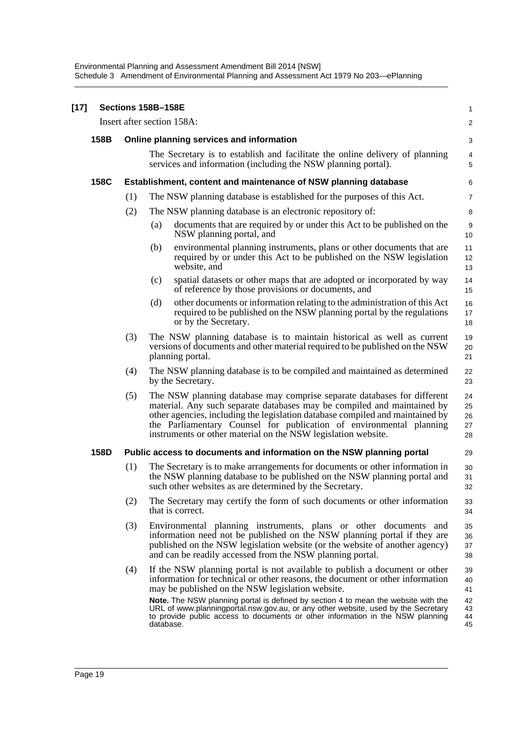Environmental Planning and Assessment Amendment Bill 2014 [NSW] Schedule 3 Amendment of Environmental Planning and Assessment Act 1979 No 203—ePlanning

| $[17]$ |                            |                                                                 | Sections 158B-158E                                                                                                                                                                                                                                                                                                                                                          | $\mathbf{1}$               |  |  |
|--------|----------------------------|-----------------------------------------------------------------|-----------------------------------------------------------------------------------------------------------------------------------------------------------------------------------------------------------------------------------------------------------------------------------------------------------------------------------------------------------------------------|----------------------------|--|--|
|        | Insert after section 158A: |                                                                 |                                                                                                                                                                                                                                                                                                                                                                             |                            |  |  |
|        | 158B                       |                                                                 | Online planning services and information                                                                                                                                                                                                                                                                                                                                    | 3                          |  |  |
|        |                            |                                                                 | The Secretary is to establish and facilitate the online delivery of planning<br>services and information (including the NSW planning portal).                                                                                                                                                                                                                               | 4<br>5                     |  |  |
|        | 158C                       | Establishment, content and maintenance of NSW planning database |                                                                                                                                                                                                                                                                                                                                                                             |                            |  |  |
|        |                            | (1)                                                             | The NSW planning database is established for the purposes of this Act.                                                                                                                                                                                                                                                                                                      | $\overline{7}$             |  |  |
|        |                            | (2)                                                             | The NSW planning database is an electronic repository of:                                                                                                                                                                                                                                                                                                                   | 8                          |  |  |
|        |                            |                                                                 | documents that are required by or under this Act to be published on the<br>(a)<br>NSW planning portal, and                                                                                                                                                                                                                                                                  | 9<br>10                    |  |  |
|        |                            |                                                                 | (b)<br>environmental planning instruments, plans or other documents that are<br>required by or under this Act to be published on the NSW legislation<br>website, and                                                                                                                                                                                                        | 11<br>12<br>13             |  |  |
|        |                            |                                                                 | spatial datasets or other maps that are adopted or incorporated by way<br>(c)<br>of reference by those provisions or documents, and                                                                                                                                                                                                                                         | 14<br>15                   |  |  |
|        |                            |                                                                 | other documents or information relating to the administration of this Act<br>(d)<br>required to be published on the NSW planning portal by the regulations<br>or by the Secretary.                                                                                                                                                                                          | 16<br>17<br>18             |  |  |
|        |                            | (3)                                                             | The NSW planning database is to maintain historical as well as current<br>versions of documents and other material required to be published on the NSW<br>planning portal.                                                                                                                                                                                                  | 19<br>20<br>21             |  |  |
|        |                            | (4)                                                             | The NSW planning database is to be compiled and maintained as determined<br>by the Secretary.                                                                                                                                                                                                                                                                               | 22<br>23                   |  |  |
|        |                            | (5)                                                             | The NSW planning database may comprise separate databases for different<br>material. Any such separate databases may be compiled and maintained by<br>other agencies, including the legislation database compiled and maintained by<br>the Parliamentary Counsel for publication of environmental planning<br>instruments or other material on the NSW legislation website. | 24<br>25<br>26<br>27<br>28 |  |  |
|        | 158D                       |                                                                 | Public access to documents and information on the NSW planning portal                                                                                                                                                                                                                                                                                                       | 29                         |  |  |
|        |                            | (1)                                                             | The Secretary is to make arrangements for documents or other information in<br>the NSW planning database to be published on the NSW planning portal and<br>such other websites as are determined by the Secretary.                                                                                                                                                          | 30<br>31<br>32             |  |  |
|        |                            | (2)                                                             | The Secretary may certify the form of such documents or other information<br>that is correct.                                                                                                                                                                                                                                                                               | 33<br>34                   |  |  |
|        |                            | (3)                                                             | Environmental planning instruments, plans or other documents and<br>information need not be published on the NSW planning portal if they are<br>published on the NSW legislation website (or the website of another agency)<br>and can be readily accessed from the NSW planning portal.                                                                                    | 35<br>36<br>37<br>38       |  |  |
|        |                            | (4)                                                             | If the NSW planning portal is not available to publish a document or other<br>information for technical or other reasons, the document or other information<br>may be published on the NSW legislation website.                                                                                                                                                             | 39<br>40<br>41             |  |  |
|        |                            |                                                                 | Note. The NSW planning portal is defined by section 4 to mean the website with the<br>URL of www.planningportal.nsw.gov.au, or any other website, used by the Secretary<br>to provide public access to documents or other information in the NSW planning<br>database.                                                                                                      | 42<br>43<br>44<br>45       |  |  |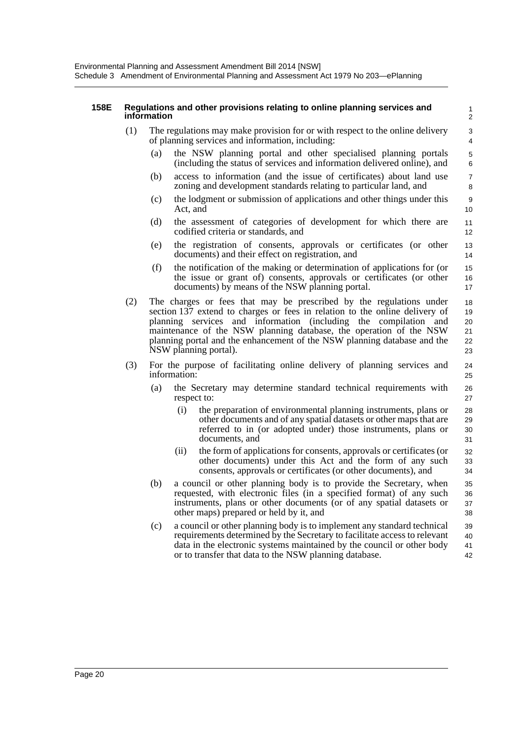#### **158E Regulations and other provisions relating to online planning services and information**

- (1) The regulations may make provision for or with respect to the online delivery of planning services and information, including:
	- (a) the NSW planning portal and other specialised planning portals (including the status of services and information delivered online), and

- (b) access to information (and the issue of certificates) about land use zoning and development standards relating to particular land, and
- (c) the lodgment or submission of applications and other things under this Act, and
- (d) the assessment of categories of development for which there are codified criteria or standards, and
- (e) the registration of consents, approvals or certificates (or other documents) and their effect on registration, and
- (f) the notification of the making or determination of applications for (or the issue or grant of) consents, approvals or certificates (or other documents) by means of the NSW planning portal.
- (2) The charges or fees that may be prescribed by the regulations under section 137 extend to charges or fees in relation to the online delivery of planning services and information (including the compilation and maintenance of the NSW planning database, the operation of the NSW planning portal and the enhancement of the NSW planning database and the NSW planning portal). 18 19 20 21  $22$ 23
- (3) For the purpose of facilitating online delivery of planning services and information:
	- (a) the Secretary may determine standard technical requirements with respect to:
		- (i) the preparation of environmental planning instruments, plans or other documents and of any spatial datasets or other maps that are referred to in (or adopted under) those instruments, plans or documents, and 28  $29$ 30 31
		- (ii) the form of applications for consents, approvals or certificates (or other documents) under this Act and the form of any such consents, approvals or certificates (or other documents), and 32 33 34
	- (b) a council or other planning body is to provide the Secretary, when requested, with electronic files (in a specified format) of any such instruments, plans or other documents (or of any spatial datasets or other maps) prepared or held by it, and 35 36 37 38
	- (c) a council or other planning body is to implement any standard technical requirements determined by the Secretary to facilitate access to relevant data in the electronic systems maintained by the council or other body or to transfer that data to the NSW planning database. 39  $40$ 41 42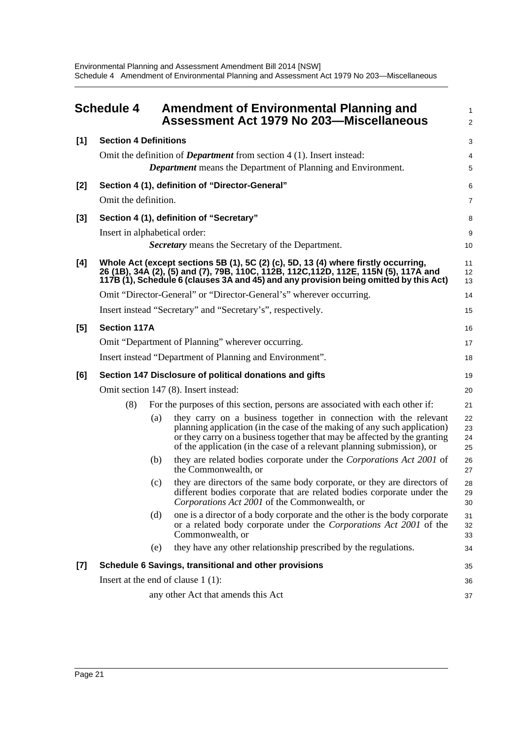<span id="page-23-0"></span>

|       | <b>Schedule 4</b>             |     | <b>Amendment of Environmental Planning and</b><br><b>Assessment Act 1979 No 203-Miscellaneous</b>                                                                                                                                                                                                    | 1<br>$\overline{a}$  |
|-------|-------------------------------|-----|------------------------------------------------------------------------------------------------------------------------------------------------------------------------------------------------------------------------------------------------------------------------------------------------------|----------------------|
| $[1]$ | <b>Section 4 Definitions</b>  |     |                                                                                                                                                                                                                                                                                                      | 3                    |
|       |                               |     | Omit the definition of <i>Department</i> from section 4 (1). Insert instead:                                                                                                                                                                                                                         | 4                    |
|       |                               |     | <b>Department</b> means the Department of Planning and Environment.                                                                                                                                                                                                                                  | 5                    |
| [2]   |                               |     | Section 4 (1), definition of "Director-General"                                                                                                                                                                                                                                                      | 6                    |
|       | Omit the definition.          |     |                                                                                                                                                                                                                                                                                                      | 7                    |
| $[3]$ |                               |     | Section 4 (1), definition of "Secretary"                                                                                                                                                                                                                                                             | 8                    |
|       | Insert in alphabetical order: |     |                                                                                                                                                                                                                                                                                                      | 9                    |
|       |                               |     | <b>Secretary</b> means the Secretary of the Department.                                                                                                                                                                                                                                              | 10                   |
| [4]   |                               |     | Whole Act (except sections 5B (1), 5C (2) (c), 5D, 13 (4) where firstly occurring,<br>26 (1B), 34À (2), (5) and (7), 79B, 110C, 112B, 112C,112D, 112E, 115N (5), 117A and<br>117B (1), Schedule 6 (clauses 3A and 45) and any provision being omitted by this Act)                                   | 11<br>12<br>13       |
|       |                               |     | Omit "Director-General" or "Director-General's" wherever occurring.                                                                                                                                                                                                                                  | 14                   |
|       |                               |     | Insert instead "Secretary" and "Secretary's", respectively.                                                                                                                                                                                                                                          | 15                   |
| [5]   | <b>Section 117A</b>           |     |                                                                                                                                                                                                                                                                                                      | 16                   |
|       |                               |     | Omit "Department of Planning" wherever occurring.                                                                                                                                                                                                                                                    | 17                   |
|       |                               |     | Insert instead "Department of Planning and Environment".                                                                                                                                                                                                                                             | 18                   |
| [6]   |                               |     | Section 147 Disclosure of political donations and gifts                                                                                                                                                                                                                                              | 19                   |
|       |                               |     | Omit section 147 (8). Insert instead:                                                                                                                                                                                                                                                                | 20                   |
|       | (8)                           |     | For the purposes of this section, persons are associated with each other if:                                                                                                                                                                                                                         | 21                   |
|       |                               | (a) | they carry on a business together in connection with the relevant<br>planning application (in the case of the making of any such application)<br>or they carry on a business together that may be affected by the granting<br>of the application (in the case of a relevant planning submission), or | 22<br>23<br>24<br>25 |
|       |                               | (b) | they are related bodies corporate under the Corporations Act 2001 of<br>the Commonwealth, or                                                                                                                                                                                                         | 26<br>27             |
|       |                               | (c) | they are directors of the same body corporate, or they are directors of<br>different bodies corporate that are related bodies corporate under the<br>Corporations Act 2001 of the Commonwealth, or                                                                                                   | 28<br>29<br>30       |
|       |                               | (d) | one is a director of a body corporate and the other is the body corporate<br>or a related body corporate under the Corporations Act 2001 of the<br>Commonwealth, or                                                                                                                                  | 31<br>32<br>33       |
|       |                               | (e) | they have any other relationship prescribed by the regulations.                                                                                                                                                                                                                                      | 34                   |
| $[7]$ |                               |     | Schedule 6 Savings, transitional and other provisions                                                                                                                                                                                                                                                | 35                   |
|       |                               |     | Insert at the end of clause $1(1)$ :                                                                                                                                                                                                                                                                 | 36                   |
|       |                               |     | any other Act that amends this Act                                                                                                                                                                                                                                                                   | 37                   |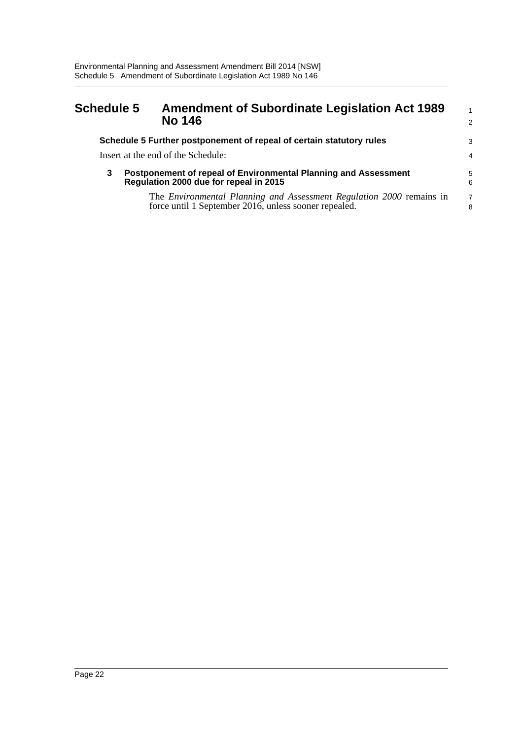#### <span id="page-24-0"></span>**Schedule 5 Amendment of Subordinate Legislation Act 1989 No 146** 1

|   | Schedule 5 Further postponement of repeal of certain statutory rules                                      | 3              |
|---|-----------------------------------------------------------------------------------------------------------|----------------|
|   | Insert at the end of the Schedule:                                                                        | 4              |
| 3 | Postponement of repeal of Environmental Planning and Assessment<br>Regulation 2000 due for repeal in 2015 | 5<br>6         |
|   | The <i>Environmental Planning and Assessment Regulation 2000</i> remains in                               | $\overline{7}$ |
|   | force until 1 September 2016, unless sooner repealed.                                                     | 8              |

2